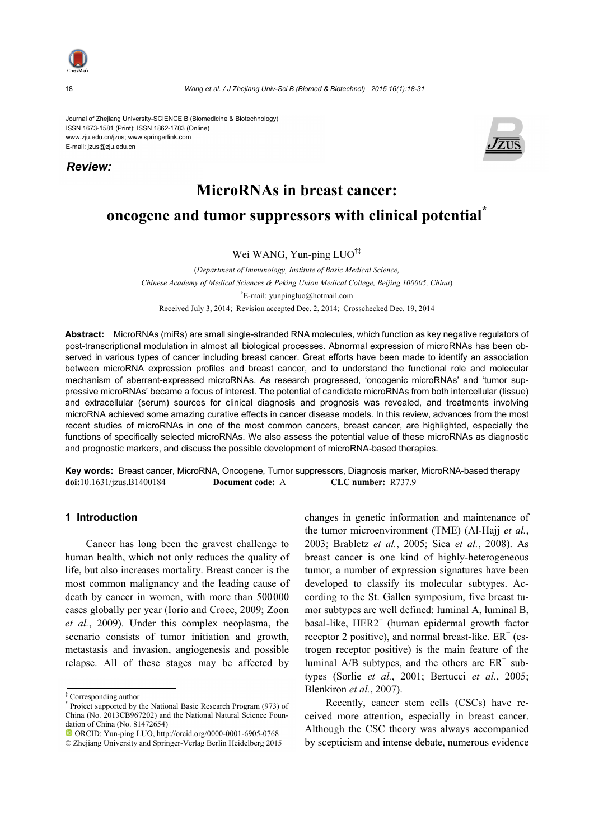

18 *Wang et al. / J Zhejiang Univ-Sci B (Biomed & Biotechnol) 2015 16(1):18-31*

Journal of Zhejiang University-SCIENCE B (Biomedicine & Biotechnology) ISSN 1673-1581 (Print); ISSN 1862-1783 (Online) www.zju.edu.cn/jzus; www.springerlink.com E-mail: jzus@zju.edu.cn

# *Review:*



# **MicroRNAs in breast cancer:**

# **oncogene and tumor suppressors with clinical potential\***

# Wei WANG, Yun-ping LUO†‡

(*Department of Immunology, Institute of Basic Medical Science, Chinese Academy of Medical Sciences & Peking Union Medical College, Beijing 100005, China*) † E-mail: yunpingluo@hotmail.com Received July 3, 2014; Revision accepted Dec. 2, 2014; Crosschecked Dec. 19, 2014

**Abstract:** MicroRNAs (miRs) are small single-stranded RNA molecules, which function as key negative regulators of post-transcriptional modulation in almost all biological processes. Abnormal expression of microRNAs has been observed in various types of cancer including breast cancer. Great efforts have been made to identify an association between microRNA expression profiles and breast cancer, and to understand the functional role and molecular mechanism of aberrant-expressed microRNAs. As research progressed, 'oncogenic microRNAs' and 'tumor suppressive microRNAs' became a focus of interest. The potential of candidate microRNAs from both intercellular (tissue) and extracellular (serum) sources for clinical diagnosis and prognosis was revealed, and treatments involving microRNA achieved some amazing curative effects in cancer disease models. In this review, advances from the most recent studies of microRNAs in one of the most common cancers, breast cancer, are highlighted, especially the functions of specifically selected microRNAs. We also assess the potential value of these microRNAs as diagnostic and prognostic markers, and discuss the possible development of microRNA-based therapies.

**Key words:** Breast cancer, MicroRNA, Oncogene, Tumor suppressors, Diagnosis marker, MicroRNA-based therapy **doi:**10.1631/jzus.B1400184 **Document code:** A **CLC number:** R737.9

## **1 Introduction**

Cancer has long been the gravest challenge to human health, which not only reduces the quality of life, but also increases mortality. Breast cancer is the most common malignancy and the leading cause of death by cancer in women, with more than 500000 cases globally per year (Iorio and Croce, 2009; Zoon *et al.*, 2009). Under this complex neoplasma, the scenario consists of tumor initiation and growth, metastasis and invasion, angiogenesis and possible relapse. All of these stages may be affected by

changes in genetic information and maintenance of the tumor microenvironment (TME) (Al-Hajj *et al.*, 2003; Brabletz *et al.*, 2005; Sica *et al.*, 2008). As breast cancer is one kind of highly-heterogeneous tumor, a number of expression signatures have been developed to classify its molecular subtypes. According to the St. Gallen symposium, five breast tumor subtypes are well defined: luminal A, luminal B, basal-like,  $HER2<sup>+</sup>$  (human epidermal growth factor receptor 2 positive), and normal breast-like.  $ER^+$  (estrogen receptor positive) is the main feature of the luminal A/B subtypes, and the others are ER<sup>−</sup> subtypes (Sorlie *et al.*, 2001; Bertucci *et al.*, 2005; Blenkiron *et al.*, 2007).

Recently, cancer stem cells (CSCs) have received more attention, especially in breast cancer. Although the CSC theory was always accompanied by scepticism and intense debate, numerous evidence

<sup>‡</sup> Corresponding author

<sup>\*</sup> Project supported by the National Basic Research Program (973) of China (No. 2013CB967202) and the National Natural Science Foundation of China (No. 81472654)

ORCID: Yun-ping LUO, http://orcid.org/0000-0001-6905-0768 © Zhejiang University and Springer-Verlag Berlin Heidelberg 2015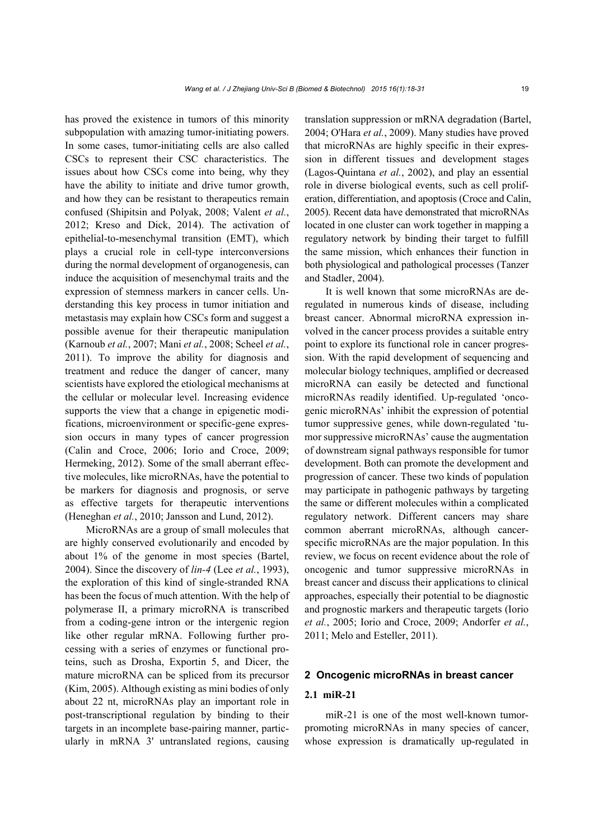has proved the existence in tumors of this minority subpopulation with amazing tumor-initiating powers. In some cases, tumor-initiating cells are also called CSCs to represent their CSC characteristics. The issues about how CSCs come into being, why they have the ability to initiate and drive tumor growth, and how they can be resistant to therapeutics remain confused (Shipitsin and Polyak, 2008; Valent *et al.*, 2012; Kreso and Dick, 2014). The activation of epithelial-to-mesenchymal transition (EMT), which plays a crucial role in cell-type interconversions during the normal development of organogenesis, can induce the acquisition of mesenchymal traits and the expression of stemness markers in cancer cells. Understanding this key process in tumor initiation and metastasis may explain how CSCs form and suggest a possible avenue for their therapeutic manipulation (Karnoub *et al.*, 2007; Mani *et al.*, 2008; Scheel *et al.*, 2011). To improve the ability for diagnosis and treatment and reduce the danger of cancer, many scientists have explored the etiological mechanisms at the cellular or molecular level. Increasing evidence supports the view that a change in epigenetic modifications, microenvironment or specific-gene expression occurs in many types of cancer progression (Calin and Croce, 2006; Iorio and Croce, 2009; Hermeking, 2012). Some of the small aberrant effective molecules, like microRNAs, have the potential to be markers for diagnosis and prognosis, or serve as effective targets for therapeutic interventions (Heneghan *et al.*, 2010; Jansson and Lund, 2012).

MicroRNAs are a group of small molecules that are highly conserved evolutionarily and encoded by about 1% of the genome in most species (Bartel, 2004). Since the discovery of *lin-4* (Lee *et al.*, 1993), the exploration of this kind of single-stranded RNA has been the focus of much attention. With the help of polymerase II, a primary microRNA is transcribed from a coding-gene intron or the intergenic region like other regular mRNA. Following further processing with a series of enzymes or functional proteins, such as Drosha, Exportin 5, and Dicer, the mature microRNA can be spliced from its precursor (Kim, 2005). Although existing as mini bodies of only about 22 nt, microRNAs play an important role in post-transcriptional regulation by binding to their targets in an incomplete base-pairing manner, particularly in mRNA 3' untranslated regions, causing translation suppression or mRNA degradation (Bartel, 2004; O'Hara *et al.*, 2009). Many studies have proved that microRNAs are highly specific in their expression in different tissues and development stages (Lagos-Quintana *et al.*, 2002), and play an essential role in diverse biological events, such as cell proliferation, differentiation, and apoptosis (Croce and Calin, 2005). Recent data have demonstrated that microRNAs located in one cluster can work together in mapping a regulatory network by binding their target to fulfill the same mission, which enhances their function in both physiological and pathological processes (Tanzer and Stadler, 2004).

It is well known that some microRNAs are deregulated in numerous kinds of disease, including breast cancer. Abnormal microRNA expression involved in the cancer process provides a suitable entry point to explore its functional role in cancer progression. With the rapid development of sequencing and molecular biology techniques, amplified or decreased microRNA can easily be detected and functional microRNAs readily identified. Up-regulated 'oncogenic microRNAs' inhibit the expression of potential tumor suppressive genes, while down-regulated 'tumor suppressive microRNAs' cause the augmentation of downstream signal pathways responsible for tumor development. Both can promote the development and progression of cancer. These two kinds of population may participate in pathogenic pathways by targeting the same or different molecules within a complicated regulatory network. Different cancers may share common aberrant microRNAs, although cancerspecific microRNAs are the major population. In this review, we focus on recent evidence about the role of oncogenic and tumor suppressive microRNAs in breast cancer and discuss their applications to clinical approaches, especially their potential to be diagnostic and prognostic markers and therapeutic targets (Iorio *et al.*, 2005; Iorio and Croce, 2009; Andorfer *et al.*, 2011; Melo and Esteller, 2011).

## **2 Oncogenic microRNAs in breast cancer**

## **2.1 miR-21**

miR-21 is one of the most well-known tumorpromoting microRNAs in many species of cancer, whose expression is dramatically up-regulated in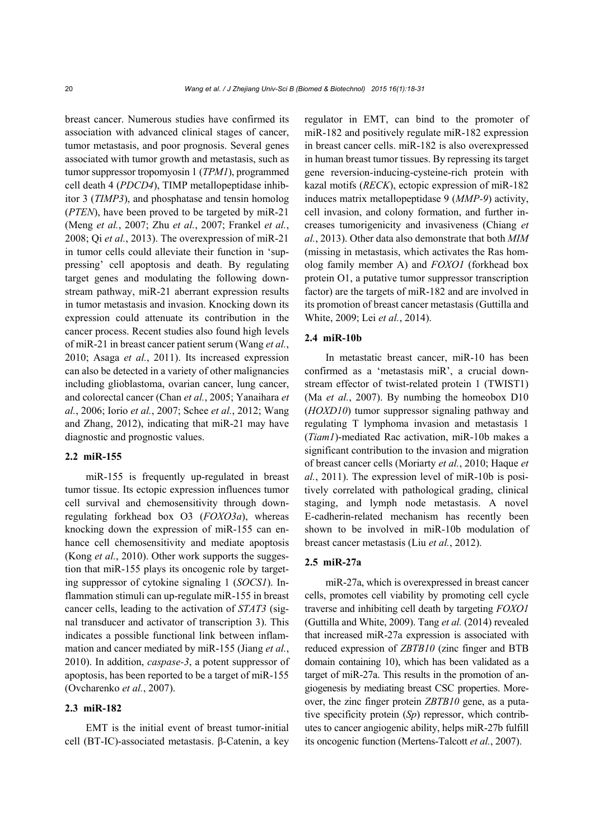breast cancer. Numerous studies have confirmed its association with advanced clinical stages of cancer, tumor metastasis, and poor prognosis. Several genes associated with tumor growth and metastasis, such as tumor suppressor tropomyosin 1 (*TPM1*), programmed cell death 4 (*PDCD4*), TIMP metallopeptidase inhibitor 3 (*TIMP3*), and phosphatase and tensin homolog (*PTEN*), have been proved to be targeted by miR-21 (Meng *et al.*, 2007; Zhu *et al.*, 2007; Frankel *et al.*, 2008; Qi *et al.*, 2013). The overexpression of miR-21 in tumor cells could alleviate their function in 'suppressing' cell apoptosis and death. By regulating target genes and modulating the following downstream pathway, miR-21 aberrant expression results in tumor metastasis and invasion. Knocking down its expression could attenuate its contribution in the cancer process. Recent studies also found high levels of miR-21 in breast cancer patient serum (Wang *et al.*, 2010; Asaga *et al.*, 2011). Its increased expression can also be detected in a variety of other malignancies including glioblastoma, ovarian cancer, lung cancer, and colorectal cancer (Chan *et al.*, 2005; Yanaihara *et al.*, 2006; Iorio *et al.*, 2007; Schee *et al.*, 2012; Wang and Zhang, 2012), indicating that miR-21 may have diagnostic and prognostic values.

### **2.2 miR-155**

miR-155 is frequently up-regulated in breast tumor tissue. Its ectopic expression influences tumor cell survival and chemosensitivity through downregulating forkhead box O3 (*FOXO3a*), whereas knocking down the expression of miR-155 can enhance cell chemosensitivity and mediate apoptosis (Kong *et al.*, 2010). Other work supports the suggestion that miR-155 plays its oncogenic role by targeting suppressor of cytokine signaling 1 (*SOCS1*). Inflammation stimuli can up-regulate miR-155 in breast cancer cells, leading to the activation of *STAT3* (signal transducer and activator of transcription 3). This indicates a possible functional link between inflammation and cancer mediated by miR-155 (Jiang *et al.*, 2010). In addition, *caspase-3*, a potent suppressor of apoptosis, has been reported to be a target of miR-155 (Ovcharenko *et al.*, 2007).

## **2.3 miR-182**

EMT is the initial event of breast tumor-initial cell (BT-IC)-associated metastasis. β-Catenin, a key regulator in EMT, can bind to the promoter of miR-182 and positively regulate miR-182 expression in breast cancer cells. miR-182 is also overexpressed in human breast tumor tissues. By repressing its target gene reversion-inducing-cysteine-rich protein with kazal motifs (*RECK*), ectopic expression of miR-182 induces matrix metallopeptidase 9 (*MMP-9*) activity, cell invasion, and colony formation, and further increases tumorigenicity and invasiveness (Chiang *et al.*, 2013). Other data also demonstrate that both *MIM* (missing in metastasis, which activates the Ras homolog family member A) and *FOXO1* (forkhead box protein O1, a putative tumor suppressor transcription factor) are the targets of miR-182 and are involved in its promotion of breast cancer metastasis (Guttilla and White, 2009; Lei *et al.*, 2014).

#### **2.4 miR-10b**

In metastatic breast cancer, miR-10 has been confirmed as a 'metastasis miR', a crucial downstream effector of twist-related protein 1 (TWIST1) (Ma *et al.*, 2007). By numbing the homeobox D10 (*HOXD10*) tumor suppressor signaling pathway and regulating T lymphoma invasion and metastasis 1 (*Tiam1*)-mediated Rac activation, miR-10b makes a significant contribution to the invasion and migration of breast cancer cells (Moriarty *et al.*, 2010; Haque *et al.*, 2011). The expression level of miR-10b is positively correlated with pathological grading, clinical staging, and lymph node metastasis. A novel E-cadherin-related mechanism has recently been shown to be involved in miR-10b modulation of breast cancer metastasis (Liu *et al.*, 2012).

### **2.5 miR-27a**

miR-27a, which is overexpressed in breast cancer cells, promotes cell viability by promoting cell cycle traverse and inhibiting cell death by targeting *FOXO1* (Guttilla and White, 2009). Tang *et al.* (2014) revealed that increased miR-27a expression is associated with reduced expression of *ZBTB10* (zinc finger and BTB domain containing 10), which has been validated as a target of miR-27a. This results in the promotion of angiogenesis by mediating breast CSC properties. Moreover, the zinc finger protein *ZBTB10* gene, as a putative specificity protein (*Sp*) repressor, which contributes to cancer angiogenic ability, helps miR-27b fulfill its oncogenic function (Mertens-Talcott *et al.*, 2007).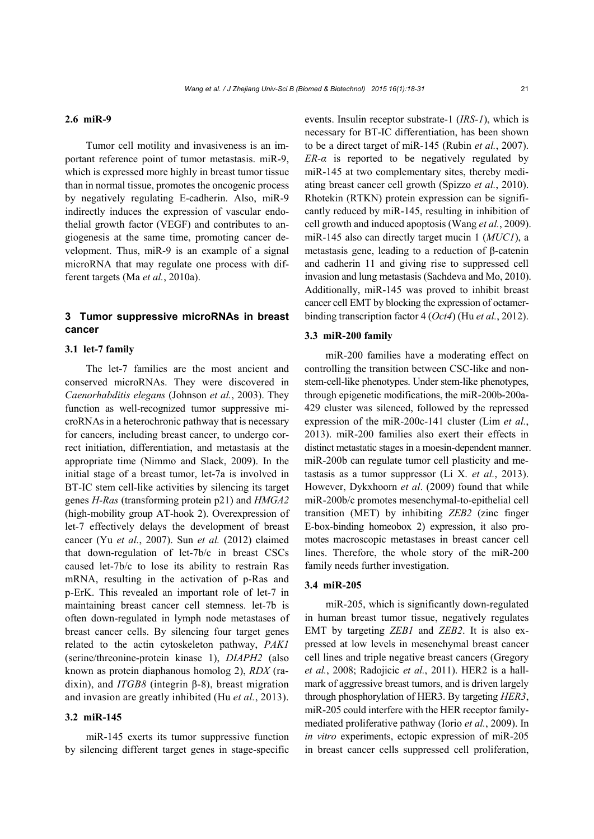#### **2.6 miR-9**

Tumor cell motility and invasiveness is an important reference point of tumor metastasis. miR-9, which is expressed more highly in breast tumor tissue than in normal tissue, promotes the oncogenic process by negatively regulating E-cadherin. Also, miR-9 indirectly induces the expression of vascular endothelial growth factor (VEGF) and contributes to angiogenesis at the same time, promoting cancer development. Thus, miR-9 is an example of a signal microRNA that may regulate one process with different targets (Ma *et al.*, 2010a).

## **3 Tumor suppressive microRNAs in breast cancer**

#### **3.1 let-7 family**

The let-7 families are the most ancient and conserved microRNAs. They were discovered in *Caenorhabditis elegans* (Johnson *et al.*, 2003). They function as well-recognized tumor suppressive microRNAs in a heterochronic pathway that is necessary for cancers, including breast cancer, to undergo correct initiation, differentiation, and metastasis at the appropriate time (Nimmo and Slack, 2009). In the initial stage of a breast tumor, let-7a is involved in BT-IC stem cell-like activities by silencing its target genes *H-Ras* (transforming protein p21) and *HMGA2* (high-mobility group AT-hook 2). Overexpression of let*-*7 effectively delays the development of breast cancer (Yu *et al.*, 2007). Sun *et al.* (2012) claimed that down-regulation of let-7b/c in breast CSCs caused let-7b/c to lose its ability to restrain Ras mRNA, resulting in the activation of p-Ras and p-ErK. This revealed an important role of let-7 in maintaining breast cancer cell stemness. let-7b is often down-regulated in lymph node metastases of breast cancer cells. By silencing four target genes related to the actin cytoskeleton pathway, *PAK1* (serine/threonine-protein kinase 1), *DIAPH2* (also known as protein diaphanous homolog 2), *RDX* (radixin), and *ITGB8* (integrin β-8), breast migration and invasion are greatly inhibited (Hu *et al.*, 2013).

## **3.2 miR-145**

miR-145 exerts its tumor suppressive function by silencing different target genes in stage-specific events. Insulin receptor substrate-1 (*IRS-1*), which is necessary for BT-IC differentiation, has been shown to be a direct target of miR-145 (Rubin *et al.*, 2007).  $ER-\alpha$  is reported to be negatively regulated by miR-145 at two complementary sites, thereby mediating breast cancer cell growth (Spizzo *et al.*, 2010). Rhotekin (RTKN) protein expression can be significantly reduced by miR-145, resulting in inhibition of cell growth and induced apoptosis (Wang *et al.*, 2009). miR-145 also can directly target mucin 1 (*MUC1*), a metastasis gene, leading to a reduction of β-catenin and cadherin 11 and giving rise to suppressed cell invasion and lung metastasis (Sachdeva and Mo, 2010). Additionally, miR-145 was proved to inhibit breast cancer cell EMT by blocking the expression of octamerbinding transcription factor 4 (*Oct4*) (Hu *et al.*, 2012).

### **3.3 miR-200 family**

miR-200 families have a moderating effect on controlling the transition between CSC-like and nonstem-cell-like phenotypes. Under stem-like phenotypes, through epigenetic modifications, the miR-200b-200a-429 cluster was silenced, followed by the repressed expression of the miR-200c-141 cluster (Lim *et al.*, 2013). miR-200 families also exert their effects in distinct metastatic stages in a moesin-dependent manner. miR-200b can regulate tumor cell plasticity and metastasis as a tumor suppressor (Li X. *et al.*, 2013). However, Dykxhoorn *et al*. (2009) found that while miR-200b/c promotes mesenchymal-to-epithelial cell transition (MET) by inhibiting *ZEB2* (zinc finger E-box-binding homeobox 2) expression, it also promotes macroscopic metastases in breast cancer cell lines. Therefore, the whole story of the miR-200 family needs further investigation.

### **3.4 miR-205**

miR-205, which is significantly down-regulated in human breast tumor tissue, negatively regulates EMT by targeting *ZEB1* and *ZEB2*. It is also expressed at low levels in mesenchymal breast cancer cell lines and triple negative breast cancers (Gregory *et al.*, 2008; Radojicic *et al.*, 2011). HER2 is a hallmark of aggressive breast tumors, and is driven largely through phosphorylation of HER3. By targeting *HER3*, miR-205 could interfere with the HER receptor familymediated proliferative pathway (Iorio *et al.*, 2009). In *in vitro* experiments, ectopic expression of miR-205 in breast cancer cells suppressed cell proliferation,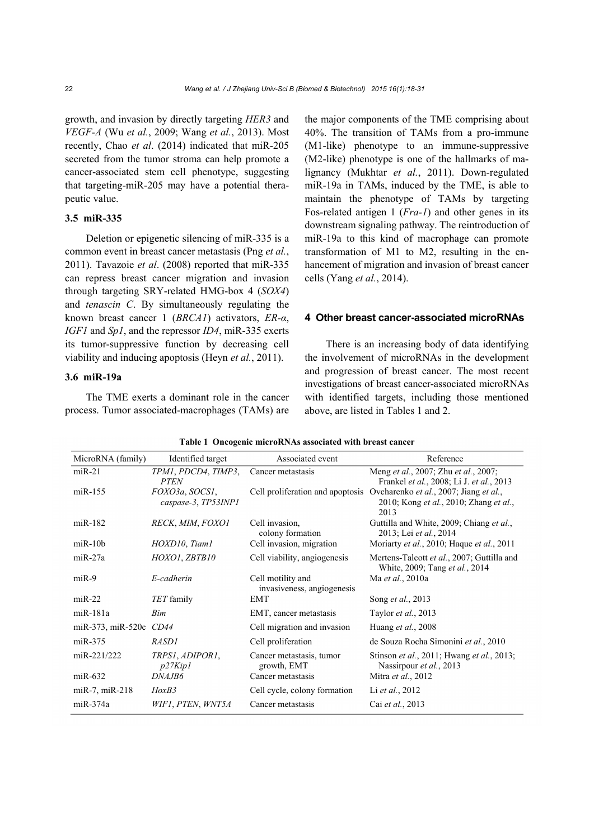growth, and invasion by directly targeting *HER3* and *VEGF-A* (Wu *et al.*, 2009; Wang *et al.*, 2013). Most recently, Chao *et al*. (2014) indicated that miR-205 secreted from the tumor stroma can help promote a cancer-associated stem cell phenotype, suggesting that targeting-miR-205 may have a potential therapeutic value.

## **3.5 miR-335**

Deletion or epigenetic silencing of miR-335 is a common event in breast cancer metastasis (Png *et al.*, 2011). Tavazoie *et al*. (2008) reported that miR-335 can repress breast cancer migration and invasion through targeting SRY-related HMG-box 4 (*SOX4*) and *tenascin C*. By simultaneously regulating the known breast cancer 1 (*BRCA1*) activators, *ER-α*, *IGF1* and *Sp1*, and the repressor *ID4*, miR-335 exerts its tumor-suppressive function by decreasing cell viability and inducing apoptosis (Heyn *et al.*, 2011).

## **3.6 miR-19a**

The TME exerts a dominant role in the cancer process. Tumor associated-macrophages (TAMs) are the major components of the TME comprising about 40%. The transition of TAMs from a pro-immune (M1-like) phenotype to an immune-suppressive (M2-like) phenotype is one of the hallmarks of malignancy (Mukhtar *et al.*, 2011). Down-regulated miR-19a in TAMs, induced by the TME, is able to maintain the phenotype of TAMs by targeting Fos-related antigen 1 (*Fra-1*) and other genes in its downstream signaling pathway. The reintroduction of miR-19a to this kind of macrophage can promote transformation of M1 to M2, resulting in the enhancement of migration and invasion of breast cancer cells (Yang *et al.*, 2014).

### **4 Other breast cancer-associated microRNAs**

There is an increasing body of data identifying the involvement of microRNAs in the development and progression of breast cancer. The most recent investigations of breast cancer-associated microRNAs with identified targets, including those mentioned above, are listed in Tables 1 and 2.

| MicroRNA (family)      | Identified target                     | Associated event                                | Reference                                                                                        |
|------------------------|---------------------------------------|-------------------------------------------------|--------------------------------------------------------------------------------------------------|
| $miR-21$               | TPM1, PDCD4, TIMP3,<br><b>PTEN</b>    | Cancer metastasis                               | Meng et al., 2007; Zhu et al., 2007;<br>Frankel <i>et al.</i> , 2008; Li J. <i>et al.</i> , 2013 |
| $miR-155$              | FOXO3a, SOCSI,<br>caspase-3, TP53INP1 | Cell proliferation and apoptosis                | Ovcharenko et al., 2007; Jiang et al.,<br>2010; Kong et al., 2010; Zhang et al.,<br>2013         |
| $miR-182$              | RECK, MIM, FOXO1                      | Cell invasion.<br>colony formation              | Guttilla and White, 2009; Chiang et al.,<br>2013; Lei et al., 2014                               |
| $miR-10b$              | HOXD10, Tiam1                         | Cell invasion, migration                        | Moriarty et al., 2010; Haque et al., 2011                                                        |
| $miR-27a$              | HOXO1, ZBTB10                         | Cell viability, angiogenesis                    | Mertens-Talcott et al., 2007; Guttilla and<br>White, 2009; Tang et al., 2014                     |
| $miR-9$                | E-cadherin                            | Cell motility and<br>invasiveness, angiogenesis | Ma et al., 2010a                                                                                 |
| $miR-22$               | TET family                            | EMT                                             | Song et al., 2013                                                                                |
| $m$ i $R-181a$         | <b>Bim</b>                            | EMT, cancer metastasis                          | Taylor et al., 2013                                                                              |
| miR-373, miR-520c CD44 |                                       | Cell migration and invasion                     | Huang et al., 2008                                                                               |
| $miR-375$              | <i>RASD1</i>                          | Cell proliferation                              | de Souza Rocha Simonini et al., 2010                                                             |
| miR-221/222            | TRPS1, ADIPOR1,<br>p27Kip1            | Cancer metastasis, tumor<br>growth, EMT         | Stinson et al., 2011; Hwang et al., 2013;<br>Nassirpour et al., 2013                             |
| $miR-632$              | <i>DNAJB6</i>                         | Cancer metastasis                               | Mitra et al., 2012                                                                               |
| miR-7, $miR-218$       | HoxB3                                 | Cell cycle, colony formation                    | Li et al., 2012                                                                                  |
| $miR-374a$             | WIF1, PTEN, WNT5A                     | Cancer metastasis                               | Cai et al., 2013                                                                                 |

**Table 1 Oncogenic microRNAs associated with breast cancer**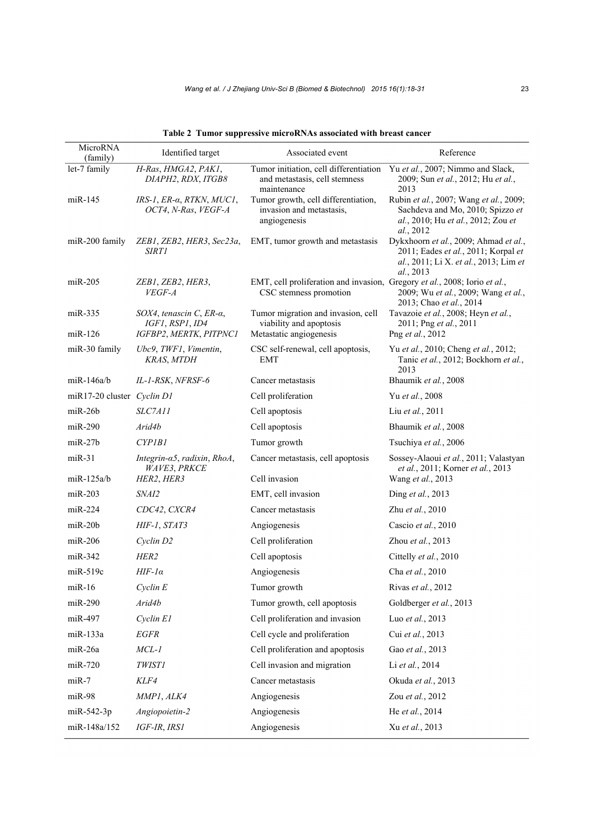| MicroRNA<br>(family)         | Identified target                                                            | Associated event                                                                                    | Reference                                                                                                                          |
|------------------------------|------------------------------------------------------------------------------|-----------------------------------------------------------------------------------------------------|------------------------------------------------------------------------------------------------------------------------------------|
| let-7 family                 | H-Ras, HMGA2, PAK1,<br>DIAPH2, RDX, ITGB8                                    | Tumor initiation, cell differentiation<br>and metastasis, cell stemness<br>maintenance              | Yu et al., 2007; Nimmo and Slack,<br>2009; Sun et al., 2012; Hu et al.,<br>2013                                                    |
| miR-145                      | IRS-1, $ER-\alpha$ , RTKN, MUC1,<br>OCT4, N-Ras, VEGF-A                      | Tumor growth, cell differentiation,<br>invasion and metastasis,<br>angiogenesis                     | Rubin et al., 2007; Wang et al., 2009;<br>Sachdeva and Mo, 2010; Spizzo et<br>al., 2010; Hu et al., 2012; Zou et<br>al., 2012      |
| miR-200 family               | ZEB1, ZEB2, HER3, Sec23a,<br><i>SIRTI</i>                                    | EMT, tumor growth and metastasis                                                                    | Dykxhoorn et al., 2009; Ahmad et al.,<br>2011; Eades et al., 2011; Korpal et<br>al., 2011; Li X. et al., 2013; Lim et<br>al., 2013 |
| $miR-205$                    | ZEB1, ZEB2, HER3,<br>VEGF-A                                                  | EMT, cell proliferation and invasion, Gregory et al., 2008; Iorio et al.,<br>CSC stemness promotion | 2009; Wu et al., 2009; Wang et al.,<br>2013; Chao et al., 2014                                                                     |
| $miR-335$<br>miR-126         | SOX4, tenascin C, $ER-\alpha$ ,<br>IGF1, RSP1, ID4<br>IGFBP2, MERTK, PITPNC1 | Tumor migration and invasion, cell<br>viability and apoptosis<br>Metastatic angiogenesis            | Tavazoie et al., 2008; Heyn et al.,<br>2011; Png et al., 2011<br>Png et al., 2012                                                  |
|                              |                                                                              |                                                                                                     |                                                                                                                                    |
| miR-30 family                | Ubc9, TWF1, Vimentin,<br><b>KRAS, MTDH</b>                                   | CSC self-renewal, cell apoptosis,<br><b>EMT</b>                                                     | Yu et al., 2010; Cheng et al., 2012;<br>Tanic et al., 2012; Bockhorn et al.,<br>2013                                               |
| $miR-146a/b$                 | IL-1-RSK, NFRSF-6                                                            | Cancer metastasis                                                                                   | Bhaumik et al., 2008                                                                                                               |
| miR17-20 cluster $Cyclin DI$ |                                                                              | Cell proliferation                                                                                  | Yu et al., 2008                                                                                                                    |
| $miR-26b$                    | <b>SLC7A11</b>                                                               | Cell apoptosis                                                                                      | Liu et al., 2011                                                                                                                   |
| $miR-290$                    | Arid4b                                                                       | Cell apoptosis                                                                                      | Bhaumik et al., 2008                                                                                                               |
| $miR-27b$                    | CYPIBI                                                                       | Tumor growth                                                                                        | Tsuchiya et al., 2006                                                                                                              |
| $miR-31$                     | Integrin-a5, radixin, RhoA,<br>WAVE3, PRKCE                                  | Cancer metastasis, cell apoptosis                                                                   | Sossey-Alaoui et al., 2011; Valastyan<br>et al., 2011; Korner et al., 2013                                                         |
| $miR-125a/b$                 | HER2, HER3                                                                   | Cell invasion                                                                                       | Wang et al., 2013                                                                                                                  |
| $miR-203$                    | SNA12                                                                        | EMT, cell invasion                                                                                  | Ding et al., 2013                                                                                                                  |
| $miR-224$                    | CDC42, CXCR4                                                                 | Cancer metastasis                                                                                   | Zhu et al., 2010                                                                                                                   |
| $miR-20b$                    | HIF-1, STAT3                                                                 | Angiogenesis                                                                                        | Cascio et al., 2010                                                                                                                |
| $miR-206$                    | Cyclin D2                                                                    | Cell proliferation                                                                                  | Zhou et al., 2013                                                                                                                  |
| miR-342                      | HER <sub>2</sub>                                                             | Cell apoptosis                                                                                      | Cittelly et al., 2010                                                                                                              |
| miR-519c                     | $HIF-Ia$                                                                     | Angiogenesis                                                                                        | Cha et al., 2010                                                                                                                   |
| $m$ i $R-16$                 | Cvelin E                                                                     | Tumor growth                                                                                        | Rivas <i>et al.</i> , 2012                                                                                                         |
| miR-290                      | Arid4b                                                                       | Tumor growth, cell apoptosis                                                                        | Goldberger et al., 2013                                                                                                            |
| miR-497                      | Cyclin E1                                                                    | Cell proliferation and invasion                                                                     | Luo et al., 2013                                                                                                                   |
| miR-133a                     | <b>EGFR</b>                                                                  | Cell cycle and proliferation                                                                        | Cui et al., 2013                                                                                                                   |
| $miR-26a$                    | $MCL-1$                                                                      | Cell proliferation and apoptosis                                                                    | Gao et al., 2013                                                                                                                   |
| miR-720                      | <b>TWIST1</b>                                                                | Cell invasion and migration                                                                         | Li et al., 2014                                                                                                                    |
| miR-7                        | KLF4                                                                         | Cancer metastasis                                                                                   | Okuda et al., 2013                                                                                                                 |
| miR-98                       | MMP1, ALK4                                                                   | Angiogenesis                                                                                        | Zou et al., 2012                                                                                                                   |
| miR-542-3p                   | Angiopoietin-2                                                               | Angiogenesis                                                                                        | He et al., 2014                                                                                                                    |
| miR-148a/152                 | IGF-IR, IRS1                                                                 | Angiogenesis                                                                                        | Xu et al., 2013                                                                                                                    |

**Table 2 Tumor suppressive microRNAs associated with breast cancer**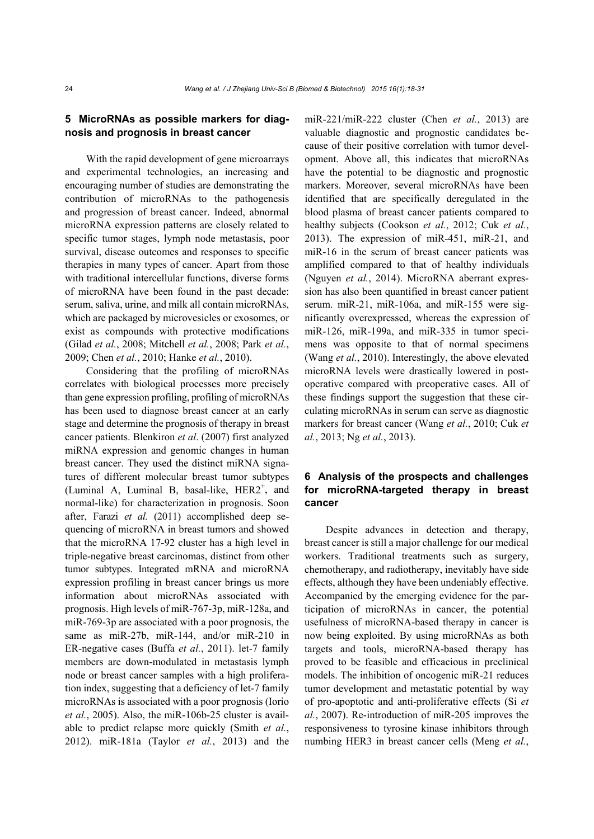## **5 MicroRNAs as possible markers for diagnosis and prognosis in breast cancer**

With the rapid development of gene microarrays and experimental technologies, an increasing and encouraging number of studies are demonstrating the contribution of microRNAs to the pathogenesis and progression of breast cancer. Indeed, abnormal microRNA expression patterns are closely related to specific tumor stages, lymph node metastasis, poor survival, disease outcomes and responses to specific therapies in many types of cancer. Apart from those with traditional intercellular functions, diverse forms of microRNA have been found in the past decade: serum, saliva, urine, and milk all contain microRNAs, which are packaged by microvesicles or exosomes, or exist as compounds with protective modifications (Gilad *et al.*, 2008; Mitchell *et al.*, 2008; Park *et al.*, 2009; Chen *et al.*, 2010; Hanke *et al.*, 2010).

Considering that the profiling of microRNAs correlates with biological processes more precisely than gene expression profiling, profiling of microRNAs has been used to diagnose breast cancer at an early stage and determine the prognosis of therapy in breast cancer patients. Blenkiron *et al*. (2007) first analyzed miRNA expression and genomic changes in human breast cancer. They used the distinct miRNA signatures of different molecular breast tumor subtypes (Luminal A, Luminal B, basal-like,  $HER2^+$ , and normal-like) for characterization in prognosis. Soon after, Farazi *et al.* (2011) accomplished deep sequencing of microRNA in breast tumors and showed that the microRNA 17-92 cluster has a high level in triple-negative breast carcinomas, distinct from other tumor subtypes. Integrated mRNA and microRNA expression profiling in breast cancer brings us more information about microRNAs associated with prognosis. High levels of miR-767-3p, miR-128a, and miR-769-3p are associated with a poor prognosis, the same as miR-27b, miR-144, and/or miR-210 in ER-negative cases (Buffa *et al.*, 2011). let-7 family members are down-modulated in metastasis lymph node or breast cancer samples with a high proliferation index, suggesting that a deficiency of let-7 family microRNAs is associated with a poor prognosis (Iorio *et al.*, 2005). Also, the miR-106b-25 cluster is available to predict relapse more quickly (Smith *et al.*, 2012). miR-181a (Taylor *et al.*, 2013) and the

miR-221/miR-222 cluster (Chen *et al.*, 2013) are valuable diagnostic and prognostic candidates because of their positive correlation with tumor development. Above all, this indicates that microRNAs have the potential to be diagnostic and prognostic markers. Moreover, several microRNAs have been identified that are specifically deregulated in the blood plasma of breast cancer patients compared to healthy subjects (Cookson *et al.*, 2012; Cuk *et al.*, 2013). The expression of miR-451, miR-21, and miR-16 in the serum of breast cancer patients was amplified compared to that of healthy individuals (Nguyen *et al.*, 2014). MicroRNA aberrant expression has also been quantified in breast cancer patient serum. miR-21, miR-106a, and miR-155 were significantly overexpressed, whereas the expression of miR-126, miR-199a, and miR-335 in tumor specimens was opposite to that of normal specimens (Wang *et al.*, 2010). Interestingly, the above elevated microRNA levels were drastically lowered in postoperative compared with preoperative cases. All of these findings support the suggestion that these circulating microRNAs in serum can serve as diagnostic markers for breast cancer (Wang *et al.*, 2010; Cuk *et al.*, 2013; Ng *et al.*, 2013).

## **6 Analysis of the prospects and challenges for microRNA-targeted therapy in breast cancer**

Despite advances in detection and therapy, breast cancer is still a major challenge for our medical workers. Traditional treatments such as surgery, chemotherapy, and radiotherapy, inevitably have side effects, although they have been undeniably effective. Accompanied by the emerging evidence for the participation of microRNAs in cancer, the potential usefulness of microRNA-based therapy in cancer is now being exploited. By using microRNAs as both targets and tools, microRNA-based therapy has proved to be feasible and efficacious in preclinical models. The inhibition of oncogenic miR-21 reduces tumor development and metastatic potential by way of pro-apoptotic and anti-proliferative effects (Si *et al.*, 2007). Re-introduction of miR-205 improves the responsiveness to tyrosine kinase inhibitors through numbing HER3 in breast cancer cells (Meng *et al.*,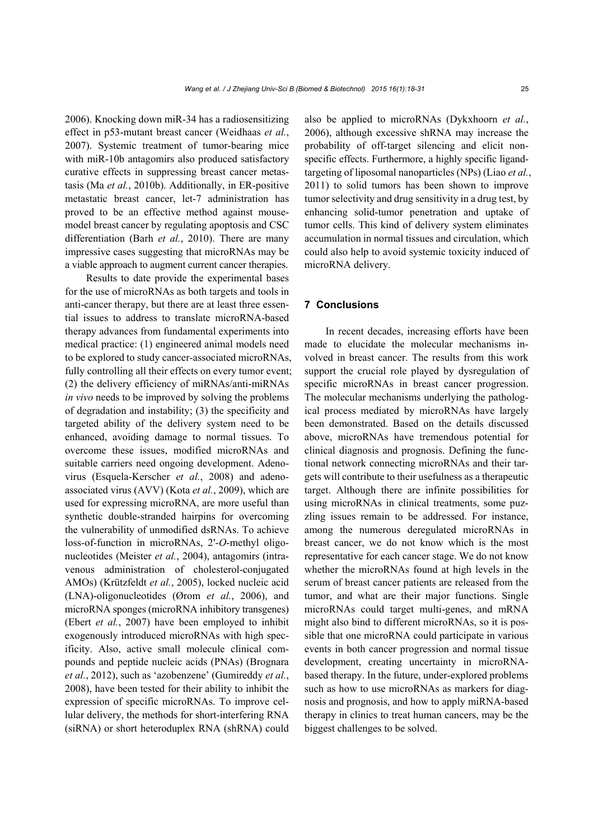2006). Knocking down miR-34 has a radiosensitizing effect in p53-mutant breast cancer (Weidhaas *et al.*, 2007). Systemic treatment of tumor-bearing mice with miR-10b antagomirs also produced satisfactory curative effects in suppressing breast cancer metastasis (Ma *et al.*, 2010b). Additionally, in ER-positive metastatic breast cancer, let-7 administration has proved to be an effective method against mousemodel breast cancer by regulating apoptosis and CSC differentiation (Barh *et al.*, 2010). There are many impressive cases suggesting that microRNAs may be a viable approach to augment current cancer therapies.

Results to date provide the experimental bases for the use of microRNAs as both targets and tools in anti-cancer therapy, but there are at least three essential issues to address to translate microRNA-based therapy advances from fundamental experiments into medical practice: (1) engineered animal models need to be explored to study cancer-associated microRNAs, fully controlling all their effects on every tumor event; (2) the delivery efficiency of miRNAs/anti-miRNAs *in vivo* needs to be improved by solving the problems of degradation and instability; (3) the specificity and targeted ability of the delivery system need to be enhanced, avoiding damage to normal tissues. To overcome these issues, modified microRNAs and suitable carriers need ongoing development. Adenovirus (Esquela-Kerscher *et al.*, 2008) and adenoassociated virus (AVV) (Kota *et al.*, 2009), which are used for expressing microRNA, are more useful than synthetic double-stranded hairpins for overcoming the vulnerability of unmodified dsRNAs. To achieve loss-of-function in microRNAs, 2′-*O*-methyl oligonucleotides (Meister *et al.*, 2004), antagomirs (intravenous administration of cholesterol-conjugated AMOs) (Krützfeldt *et al.*, 2005), locked nucleic acid (LNA)-oligonucleotides (Ørom *et al.*, 2006), and microRNA sponges (microRNA inhibitory transgenes) (Ebert *et al.*, 2007) have been employed to inhibit exogenously introduced microRNAs with high specificity. Also, active small molecule clinical compounds and peptide nucleic acids (PNAs) (Brognara *et al.*, 2012), such as 'azobenzene' (Gumireddy *et al.*, 2008), have been tested for their ability to inhibit the expression of specific microRNAs. To improve cellular delivery, the methods for short-interfering RNA (siRNA) or short heteroduplex RNA (shRNA) could

also be applied to microRNAs (Dykxhoorn *et al.*, 2006), although excessive shRNA may increase the probability of off-target silencing and elicit nonspecific effects. Furthermore, a highly specific ligandtargeting of liposomal nanoparticles (NPs) (Liao *et al.*, 2011) to solid tumors has been shown to improve tumor selectivity and drug sensitivity in a drug test, by enhancing solid-tumor penetration and uptake of tumor cells. This kind of delivery system eliminates accumulation in normal tissues and circulation, which could also help to avoid systemic toxicity induced of microRNA delivery.

## **7 Conclusions**

In recent decades, increasing efforts have been made to elucidate the molecular mechanisms involved in breast cancer. The results from this work support the crucial role played by dysregulation of specific microRNAs in breast cancer progression. The molecular mechanisms underlying the pathological process mediated by microRNAs have largely been demonstrated. Based on the details discussed above, microRNAs have tremendous potential for clinical diagnosis and prognosis. Defining the functional network connecting microRNAs and their targets will contribute to their usefulness as a therapeutic target. Although there are infinite possibilities for using microRNAs in clinical treatments, some puzzling issues remain to be addressed. For instance, among the numerous deregulated microRNAs in breast cancer, we do not know which is the most representative for each cancer stage. We do not know whether the microRNAs found at high levels in the serum of breast cancer patients are released from the tumor, and what are their major functions. Single microRNAs could target multi-genes, and mRNA might also bind to different microRNAs, so it is possible that one microRNA could participate in various events in both cancer progression and normal tissue development, creating uncertainty in microRNAbased therapy. In the future, under-explored problems such as how to use microRNAs as markers for diagnosis and prognosis, and how to apply miRNA-based therapy in clinics to treat human cancers, may be the biggest challenges to be solved.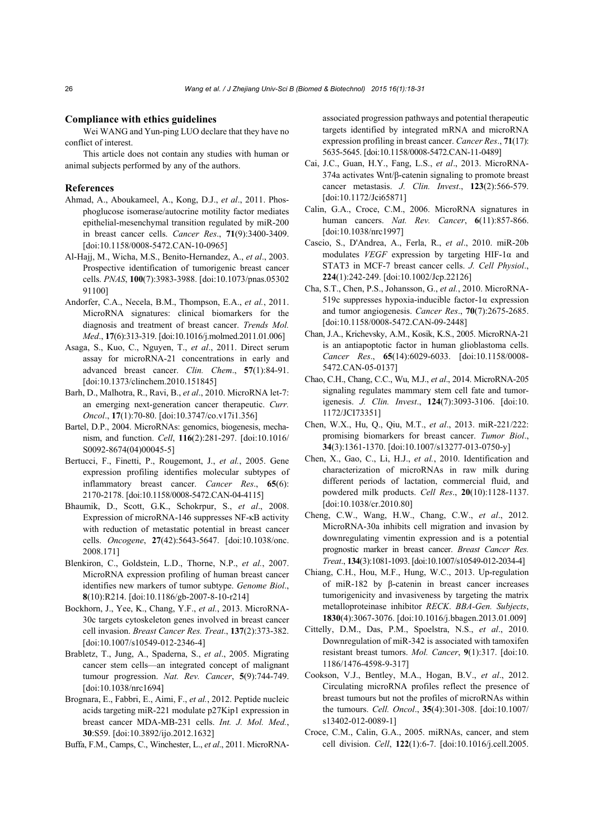#### **Compliance with ethics guidelines**

Wei WANG and Yun-ping LUO declare that they have no conflict of interest.

This article does not contain any studies with human or animal subjects performed by any of the authors.

#### **References**

- Ahmad, A., Aboukameel, A., Kong, D.J., *et al*., 2011. Phosphoglucose isomerase/autocrine motility factor mediates epithelial-mesenchymal transition regulated by miR-200 in breast cancer cells. *Cancer Res*., **71**(9):3400-3409[.](http://dx.doi.org/10.1158/0008-5472.CAN-10-0965) [\[doi:10.1158/0008-5472.CAN-10-0965\]](http://dx.doi.org/10.1158/0008-5472.CAN-10-0965)
- Al-Hajj, M., Wicha, M.S., Benito-Hernandez, A., *et al*., 2003. Prospective identification of tumorigenic breast cancer cells. *PNAS*, **100**(7):3983-3988. [\[doi:10.1073/pnas.05302](http://dx.doi.org/10.1073/pnas.0530291100) [91100\]](http://dx.doi.org/10.1073/pnas.0530291100)
- Andorfer, C.A., Necela, B.M., Thompson, E.A., *et al.*, 2011. MicroRNA signatures: clinical biomarkers for the diagnosis and treatment of breast cancer. *Trends Mol. Med*., **17**(6):313-319. [\[doi:10.1016/j.molmed.2011.01.006\]](http://dx.doi.org/10.1016/j.molmed.2011.01.006)
- Asaga, S., Kuo, C., Nguyen, T., *et al*., 2011. Direct serum assay for microRNA-21 concentrations in early and advanced breast cancer. *Clin. Chem*., **57**(1):84-91[.](http://dx.doi.org/10.1373/clinchem.2010.151845) [\[doi:10.1373/clinchem.2010.151845\]](http://dx.doi.org/10.1373/clinchem.2010.151845)
- Barh, D., Malhotra, R., Ravi, B., *et al*., 2010. MicroRNA let-7: an emerging next-generation cancer therapeutic. *Curr. Oncol*., **17**(1):70-80. [\[doi:10.3747/co.v17i1.356\]](http://dx.doi.org/10.3747/co.v17i1.356)
- Bartel, D.P., 2004. MicroRNAs: genomics, biogenesis, mechanism, and function. *Cell*, **116**(2):281-297. [\[doi:10.1016/](http://dx.doi.org/10.1016/S0092-8674(04)00045-5) [S0092-8674\(04\)00045-5\]](http://dx.doi.org/10.1016/S0092-8674(04)00045-5)
- Bertucci, F., Finetti, P., Rougemont, J., *et al.*, 2005. Gene expression profiling identifies molecular subtypes of inflammatory breast cancer. *Cancer Res*., **65**(6): 2170-2178. [\[doi:10.1158/0008-5472.CAN-04-4115\]](http://dx.doi.org/10.1158/0008-5472.CAN-04-4115)
- Bhaumik, D., Scott, G.K., Schokrpur, S., *et al*., 2008. Expression of microRNA-146 suppresses NF-κB activity with reduction of metastatic potential in breast cancer cells. *Oncogene*, **27**(42):5643-5647. [\[doi:10.1038/onc.](http://dx.doi.org/10.1038/onc.2008.171) [2008.171\]](http://dx.doi.org/10.1038/onc.2008.171)
- Blenkiron, C., Goldstein, L.D., Thorne, N.P., *et al.*, 2007. MicroRNA expression profiling of human breast cancer identifies new markers of tumor subtype. *Genome Biol*., **8**(10):R214. [\[doi:10.1186/gb-2007-8-10-r214\]](http://dx.doi.org/10.1186/gb-2007-8-10-r214)
- Bockhorn, J., Yee, K., Chang, Y.F., *et al.*, 2013. MicroRNA-30c targets cytoskeleton genes involved in breast cancer cell invasion. *Breast Cancer Res. Treat*., **137**(2):373-382[.](http://dx.doi.org/10.1007/s10549-012-2346-4) [\[doi:10.1007/s10549-012-2346-4\]](http://dx.doi.org/10.1007/s10549-012-2346-4)
- Brabletz, T., Jung, A., Spaderna, S., *et al*., 2005. Migrating cancer stem cells—an integrated concept of malignant tumour progression. *Nat. Rev. Cancer*, **5**(9):744-749[.](http://dx.doi.org/10.1038/nrc1694) [\[doi:10.1038/nrc1694\]](http://dx.doi.org/10.1038/nrc1694)
- Brognara, E., Fabbri, E., Aimi, F., *et al.*, 2012. Peptide nucleic acids targeting miR-221 modulate p27Kip1 expression in breast cancer MDA-MB-231 cells. *Int. J. Mol. Med.*, **30**:S59. [\[doi:10.3892/ijo.2012.1632\]](http://www.spandidos-publications.com/10.3892/ijo.2012.1632)
- Buffa, F.M., Camps, C., Winchester, L., *et al*., 2011. MicroRNA-

associated progression pathways and potential therapeutic targets identified by integrated mRNA and microRNA expression profiling in breast cancer. *Cancer Res*., **71**(17): 5635-5645. [\[doi:10.1158/0008-5472.CAN-11-0489\]](http://dx.doi.org/10.1158/0008-5472.CAN-11-0489)

- Cai, J.C., Guan, H.Y., Fang, L.S., *et al*., 2013. MicroRNA-374a activates Wnt/β-catenin signaling to promote breast cancer metastasis. *J. Clin. Invest*., **123**(2):566-579. [\[doi:10.1172/Jci65871\]](http://www.jci.org/articles/view/65871)
- Calin, G.A., Croce, C.M., 2006. MicroRNA signatures in human cancers. *Nat. Rev. Cancer*, **6**(11):857-866[.](http://dx.doi.org/10.1038/nrc1997) [\[doi:10.1038/nrc1997\]](http://dx.doi.org/10.1038/nrc1997)
- Cascio, S., D'Andrea, A., Ferla, R., *et al*., 2010. miR-20b modulates *VEGF* expression by targeting HIF-1α and STAT3 in MCF-7 breast cancer cells. *J. Cell Physiol*., **224**(1):242-249[. \[doi:10.1002/Jcp.22126\]](http://onlinelibrary.wiley.com/doi/10.1002/jcp.22126/abstract;jsessionid=7A589B45F464B2B4C5D259B665A05307.f03t03)
- Cha, S.T., Chen, P.S., Johansson, G., *et al.*, 2010. MicroRNA-519c suppresses hypoxia-inducible factor-1α expression and tumor angiogenesis. *Cancer Res*., **70**(7):2675-2685[.](http://dx.doi.org/10.1158/0008-5472.CAN-09-2448) [\[doi:10.1158/0008-5472.CAN-09-2448\]](http://dx.doi.org/10.1158/0008-5472.CAN-09-2448)
- Chan, J.A., Krichevsky, A.M., Kosik, K.S., 2005. MicroRNA-21 is an antiapoptotic factor in human glioblastoma cells. *Cancer Res*., **65**(14):6029-6033. [\[doi:10.1158/0008-](http://dx.doi.org/10.1158/0008-5472.CAN-05-0137) [5472.CAN-05-0137\]](http://dx.doi.org/10.1158/0008-5472.CAN-05-0137)
- Chao, C.H., Chang, C.C., Wu, M.J., *et al*., 2014. MicroRNA-205 signaling regulates mammary stem cell fate and tumorigenesis. *J. Clin. Invest*., **124**(7):3093-3106. [\[doi:10.](http://dx.doi.org/10.1172/JCI73351) [1172/JCI73351\]](http://dx.doi.org/10.1172/JCI73351)
- Chen, W.X., Hu, Q., Qiu, M.T., *et al*., 2013. miR-221/222: promising biomarkers for breast cancer. *Tumor Biol*., **34**(3):1361-1370. [\[doi:10.1007/s13277-013-0750-y\]](http://dx.doi.org/10.1007/s13277-013-0750-y)
- Chen, X., Gao, C., Li, H.J., *et al.*, 2010. Identification and characterization of microRNAs in raw milk during different periods of lactation, commercial fluid, and powdered milk products. *Cell Res*., **20**(10):1128-1137[.](http://dx.doi.org/10.1038/cr.2010.80) [\[doi:10.1038/cr.2010.80\]](http://dx.doi.org/10.1038/cr.2010.80)
- Cheng, C.W., Wang, H.W., Chang, C.W., *et al*., 2012. MicroRNA-30a inhibits cell migration and invasion by downregulating vimentin expression and is a potential prognostic marker in breast cancer. *Breast Cancer Res. Treat*., **134**(3):1081-1093. [\[doi:10.1007/s10549-012-2034-4\]](http://dx.doi.org/10.1007/s10549-012-2034-4)
- Chiang, C.H., Hou, M.F., Hung, W.C., 2013. Up-regulation of miR-182 by β-catenin in breast cancer increases tumorigenicity and invasiveness by targeting the matrix metalloproteinase inhibitor *RECK*. *BBA-Gen. Subjects*, **1830**(4):3067-3076. [\[doi:10.1016/j.bbagen.2013.01.009\]](http://dx.doi.org/10.1016/j.bbagen.2013.01.009)
- Cittelly, D.M., Das, P.M., Spoelstra, N.S., *et al*., 2010. Downregulation of miR-342 is associated with tamoxifen resistant breast tumors. *Mol. Cancer*, **9**(1):317. [\[doi:10.](http://dx.doi.org/10.1186/1476-4598-9-317) [1186/1476-4598-9-317\]](http://dx.doi.org/10.1186/1476-4598-9-317)
- Cookson, V.J., Bentley, M.A., Hogan, B.V., *et al*., 2012. Circulating microRNA profiles reflect the presence of breast tumours but not the profiles of microRNAs within the tumours. *Cell. Oncol*., **35**(4):301-308. [\[doi:10.1007/](http://dx.doi.org/10.1007/s13402-012-0089-1) [s13402-012-0089-1\]](http://dx.doi.org/10.1007/s13402-012-0089-1)
- Croce, C.M., Calin, G.A., 2005. miRNAs, cancer, and stem cell division. *Cell*, **122**(1):6-7. [\[doi:10.1016/j.cell.2005.](http://dx.doi.org/10.1016/j.cell.2005.06.036)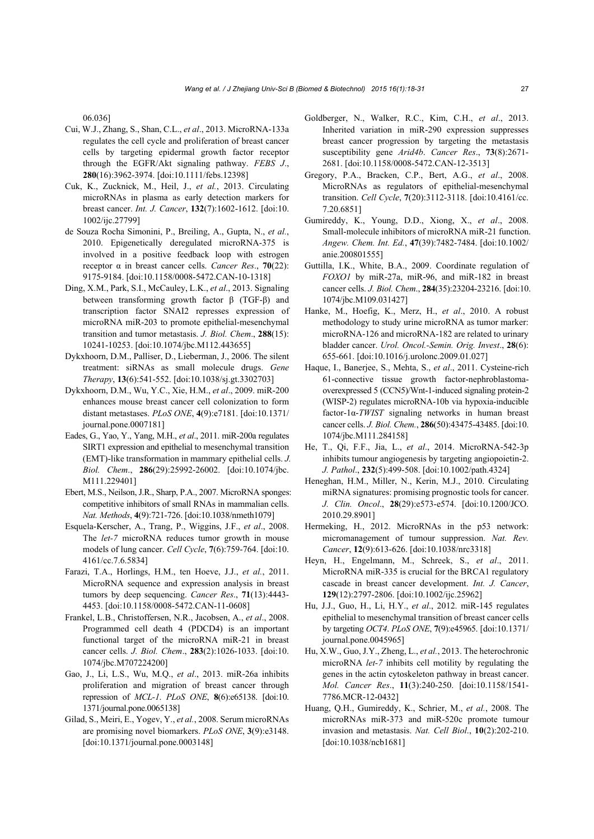[06.036\]](http://dx.doi.org/10.1016/j.cell.2005.06.036)

- Cui, W.J., Zhang, S., Shan, C.L., *et al*., 2013. MicroRNA-133a regulates the cell cycle and proliferation of breast cancer cells by targeting epidermal growth factor receptor through the EGFR/Akt signaling pathway. *FEBS J*., **280**(16):3962-3974. [\[doi:10.1111/febs.12398\]](http://dx.doi.org/10.1111/febs.12398)
- Cuk, K., Zucknick, M., Heil, J., *et al.*, 2013. Circulating microRNAs in plasma as early detection markers for breast cancer. *Int. J. Cancer*, **132**(7):1602-1612. [\[doi:10.](http://dx.doi.org/10.1002/ijc.27799) [1002/ijc.27799\]](http://dx.doi.org/10.1002/ijc.27799)
- de Souza Rocha Simonini, P., Breiling, A., Gupta, N., *et al.*, 2010. Epigenetically deregulated microRNA-375 is involved in a positive feedback loop with estrogen receptor α in breast cancer cells. *Cancer Res*., **70**(22): 9175-9184. [\[doi:10.1158/0008-5472.CAN-10-1318\]](http://dx.doi.org/10.1158/0008-5472.CAN-10-1318)
- Ding, X.M., Park, S.I., McCauley, L.K., *et al*., 2013. Signaling between transforming growth factor β (TGF-β) and transcription factor SNAI2 represses expression of microRNA miR-203 to promote epithelial-mesenchymal transition and tumor metastasis. *J. Biol. Chem*., **288**(15): 10241-10253[. \[doi:10.1074/jbc.M112.443655\]](http://dx.doi.org/10.1074/jbc.M112.443655)
- Dykxhoorn, D.M., Palliser, D., Lieberman, J., 2006. The silent treatment: siRNAs as small molecule drugs. *Gene Therapy*, **13**(6):541-552. [\[doi:10.1038/sj.gt.3302703\]](http://dx.doi.org/10.1038/sj.gt.3302703)
- Dykxhoorn, D.M., Wu, Y.C., Xie, H.M., *et al*., 2009. miR-200 enhances mouse breast cancer cell colonization to form distant metastases. *PLoS ONE*, **4**(9):e7181. [\[doi:10.1371/](http://dx.doi.org/10.1371/journal.pone.0007181) [journal.pone.0007181\]](http://dx.doi.org/10.1371/journal.pone.0007181)
- Eades, G., Yao, Y., Yang, M.H., *et al*., 2011. miR-200a regulates SIRT1 expression and epithelial to mesenchymal transition (EMT)-like transformation in mammary epithelial cells. *J. Biol. Chem*., **286**(29):25992-26002. [\[doi:10.1074/jbc.](http://dx.doi.org/10.1074/jbc.M111.229401) [M111.229401\]](http://dx.doi.org/10.1074/jbc.M111.229401)
- Ebert, M.S., Neilson, J.R., Sharp, P.A., 2007. MicroRNA sponges: competitive inhibitors of small RNAs in mammalian cells. *Nat. Methods*, **4**(9):721-726. [\[doi:10.1038/nmeth1079\]](http://dx.doi.org/10.1038/nmeth1079)
- Esquela-Kerscher, A., Trang, P., Wiggins, J.F., *et al*., 2008. The *let-7* microRNA reduces tumor growth in mouse models of lung cancer. *Cell Cycle*, **7**(6):759-764. [\[doi:10.](http://dx.doi.org/10.4161/cc.7.6.5834) [4161/cc.7.6.5834\]](http://dx.doi.org/10.4161/cc.7.6.5834)
- Farazi, T.A., Horlings, H.M., ten Hoeve, J.J., *et al.*, 2011. MicroRNA sequence and expression analysis in breast tumors by deep sequencing. *Cancer Res*., **71**(13):4443- 4453. [\[doi:10.1158/0008-5472.CAN-11-0608\]](http://dx.doi.org/10.1158/0008-5472.CAN-11-0608)
- Frankel, L.B., Christoffersen, N.R., Jacobsen, A., *et al*., 2008. Programmed cell death 4 (PDCD4) is an important functional target of the microRNA miR-21 in breast cancer cells. *J. Biol. Chem*., **283**(2):1026-1033. [\[doi:10.](http://dx.doi.org/10.1074/jbc.M707224200) [1074/jbc.M707224200\]](http://dx.doi.org/10.1074/jbc.M707224200)
- Gao, J., Li, L.S., Wu, M.Q., *et al*., 2013. miR-26a inhibits proliferation and migration of breast cancer through repression of *MCL-1*. *PLoS ONE*, **8**(6):e65138. [\[doi:10.](http://dx.doi.org/10.1371/journal.pone.0065138) [1371/journal.pone.0065138\]](http://dx.doi.org/10.1371/journal.pone.0065138)
- Gilad, S., Meiri, E., Yogev, Y., *et al.*, 2008. Serum microRNAs are promising novel biomarkers. *PLoS ONE*, **3**(9):e3148[.](http://dx.doi.org/10.1371/journal.pone.0003148) [\[doi:10.1371/journal.pone.0003148\]](http://dx.doi.org/10.1371/journal.pone.0003148)
- Goldberger, N., Walker, R.C., Kim, C.H., *et al*., 2013. Inherited variation in miR-290 expression suppresses breast cancer progression by targeting the metastasis susceptibility gene *Arid4b*. *Cancer Res*., **73**(8):2671- 2681. [\[doi:10.1158/0008-5472.CAN-12-3513\]](http://dx.doi.org/10.1158/0008-5472.CAN-12-3513)
- Gregory, P.A., Bracken, C.P., Bert, A.G., *et al*., 2008. MicroRNAs as regulators of epithelial-mesenchymal transition. *Cell Cycle*, **7**(20):3112-3118. [\[doi:10.4161/cc.](http://dx.doi.org/10.4161/cc.7.20.6851) [7.20.6851\]](http://dx.doi.org/10.4161/cc.7.20.6851)
- Gumireddy, K., Young, D.D., Xiong, X., *et al*., 2008. Small-molecule inhibitors of microRNA miR-21 function. *Angew. Chem. Int. Ed.*, **47**(39):7482-7484. [\[doi:10.1002/](http://onlinelibrary.wiley.com/doi/10.1002/anie.200801555/abstract;jsessionid=FC36C24FA98C56C0A3C935F9E4897A71.f04t01) [anie.200801555\]](http://onlinelibrary.wiley.com/doi/10.1002/anie.200801555/abstract;jsessionid=FC36C24FA98C56C0A3C935F9E4897A71.f04t01)
- Guttilla, I.K., White, B.A., 2009. Coordinate regulation of *FOXO1* by miR-27a, miR-96, and miR-182 in breast cancer cells. *J. Biol. Chem*., **284**(35):23204-23216. [\[doi:10.](http://dx.doi.org/10.1074/jbc.M109.031427) [1074/jbc.M109.031427\]](http://dx.doi.org/10.1074/jbc.M109.031427)
- Hanke, M., Hoefig, K., Merz, H., *et al*., 2010. A robust methodology to study urine microRNA as tumor marker: microRNA-126 and microRNA-182 are related to urinary bladder cancer. *Urol. Oncol.-Semin. Orig. Invest*., **28**(6): 655-661. [\[doi:10.1016/j.urolonc.2009.01.027\]](http://dx.doi.org/10.1016/j.urolonc.2009.01.027)
- Haque, I., Banerjee, S., Mehta, S., *et al*., 2011. Cysteine-rich 61-connective tissue growth factor-nephroblastomaoverexpressed 5 (CCN5)/Wnt-1-induced signaling protein-2 (WISP-2) regulates microRNA-10b via hypoxia-inducible factor-1α-*TWIST* signaling networks in human breast cancer cells. *J. Biol. Chem.*, **286**(50):43475-43485[. \[doi:10.](http://dx.doi.org/10.1074/jbc.M111.284158) [1074/jbc.M111.284158\]](http://dx.doi.org/10.1074/jbc.M111.284158)
- He, T., Qi, F.F., Jia, L., *et al*., 2014. MicroRNA-542-3p inhibits tumour angiogenesis by targeting angiopoietin-2. *J. Pathol*., **232**(5):499-508[. \[doi:10.1002/path.4324\]](http://dx.doi.org/10.1002/path.4324)
- Heneghan, H.M., Miller, N., Kerin, M.J., 2010. Circulating miRNA signatures: promising prognostic tools for cancer. *J. Clin. Oncol*., **28**(29):e573-e574. [\[doi:10.1200/JCO.](http://dx.doi.org/10.1200/JCO.2010.29.8901) [2010.29.8901\]](http://dx.doi.org/10.1200/JCO.2010.29.8901)
- Hermeking, H., 2012. MicroRNAs in the p53 network: micromanagement of tumour suppression. *Nat. Rev. Cancer*, **12**(9):613-626. [\[doi:10.1038/nrc3318\]](http://dx.doi.org/10.1038/nrc3318)
- Heyn, H., Engelmann, M., Schreek, S., *et al*., 2011. MicroRNA miR-335 is crucial for the BRCA1 regulatory cascade in breast cancer development. *Int. J. Cancer*, **129**(12):2797-2806. [\[doi:10.1002/ijc.25962\]](http://dx.doi.org/10.1002/ijc.25962)
- Hu, J.J., Guo, H., Li, H.Y., *et al*., 2012. miR-145 regulates epithelial to mesenchymal transition of breast cancer cells by targeting *OCT4*. *PLoS ONE*, **7**(9):e45965. [\[doi:10.1371/](http://dx.doi.org/10.1371/journal.pone.0045965) [journal.pone.0045965\]](http://dx.doi.org/10.1371/journal.pone.0045965)
- Hu, X.W., Guo, J.Y., Zheng, L., *et al.*, 2013. The heterochronic microRNA *let-7* inhibits cell motility by regulating the genes in the actin cytoskeleton pathway in breast cancer. *Mol. Cancer Res*., **11**(3):240-250. [\[doi:10.1158/1541-](http://dx.doi.org/10.1158/1541-7786.MCR-12-0432) [7786.MCR-12-0432\]](http://dx.doi.org/10.1158/1541-7786.MCR-12-0432)
- Huang, Q.H., Gumireddy, K., Schrier, M., *et al.*, 2008. The microRNAs miR-373 and miR-520c promote tumour invasion and metastasis. *Nat. Cell Biol*., **10**(2):202-210[.](http://dx.doi.org/10.1038/ncb1681) [\[doi:10.1038/ncb1681\]](http://dx.doi.org/10.1038/ncb1681)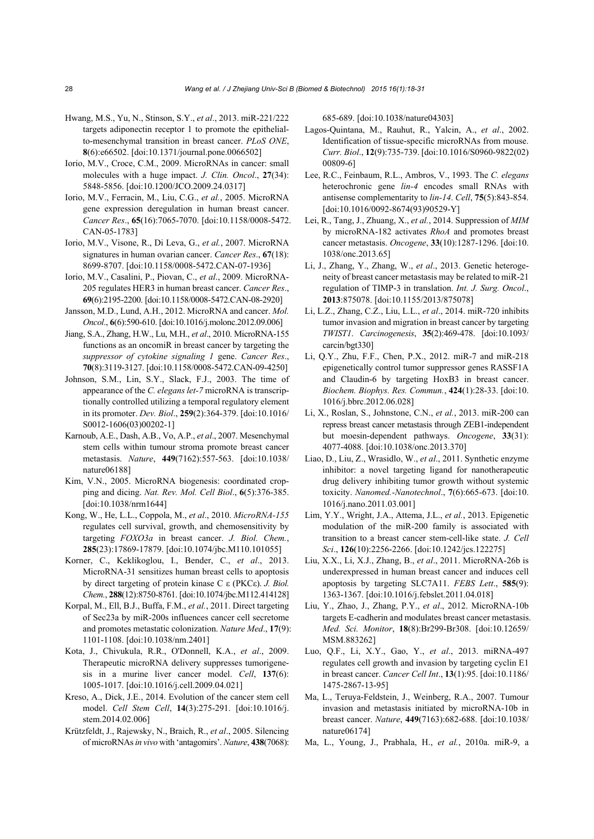- Hwang, M.S., Yu, N., Stinson, S.Y., *et al*., 2013. miR-221/222 targets adiponectin receptor 1 to promote the epithelialto-mesenchymal transition in breast cancer. *PLoS ONE*, **8**(6):e66502[. \[doi:10.1371/journal.pone.0066502\]](http://dx.doi.org/10.1371/journal.pone.0066502)
- Iorio, M.V., Croce, C.M., 2009. MicroRNAs in cancer: small molecules with a huge impact. *J. Clin. Oncol*., **27**(34): 5848-5856. [\[doi:10.1200/JCO.2009.24.0317\]](http://dx.doi.org/10.1200/JCO.2009.24.0317)
- Iorio, M.V., Ferracin, M., Liu, C.G., *et al.*, 2005. MicroRNA gene expression deregulation in human breast cancer. *Cancer Res*., **65**(16):7065-7070. [\[doi:10.1158/0008-5472.](http://dx.doi.org/10.1158/0008-5472.CAN-05-1783) [CAN-05-1783\]](http://dx.doi.org/10.1158/0008-5472.CAN-05-1783)
- Iorio, M.V., Visone, R., Di Leva, G., *et al.*, 2007. MicroRNA signatures in human ovarian cancer. *Cancer Res*., **67**(18): 8699-8707[. \[doi:10.1158/0008-5472.CAN-07-1936\]](http://dx.doi.org/10.1158/0008-5472.CAN-07-1936)
- Iorio, M.V., Casalini, P., Piovan, C., *et al*., 2009. MicroRNA-205 regulates HER3 in human breast cancer. *Cancer Res*., **69**(6):2195-2200. [\[doi:10.1158/0008-5472.CAN-08-2920\]](http://dx.doi.org/10.1158/0008-5472.CAN-08-2920)
- Jansson, M.D., Lund, A.H., 2012. MicroRNA and cancer. *Mol. Oncol*., **6**(6):590-610. [\[doi:10.1016/j.molonc.2012.09.006\]](http://dx.doi.org/10.1016/j.molonc.2012.09.006)
- Jiang, S.A., Zhang, H.W., Lu, M.H., *et al*., 2010. MicroRNA-155 functions as an oncomiR in breast cancer by targeting the *suppressor of cytokine signaling 1* gene. *Cancer Res*., **70**(8):3119-3127. [\[doi:10.1158/0008-5472.CAN-09-4250\]](http://dx.doi.org/10.1158/0008-5472.CAN-09-4250)
- Johnson, S.M., Lin, S.Y., Slack, F.J., 2003. The time of appearance of the *C. elegans let-7* microRNA is transcriptionally controlled utilizing a temporal regulatory element in its promoter. *Dev. Biol*., **259**(2):364-379. [\[doi:10.1016/](http://dx.doi.org/10.1016/S0012-1606(03)00202-1) [S0012-1606\(03\)00202-1\]](http://dx.doi.org/10.1016/S0012-1606(03)00202-1)
- Karnoub, A.E., Dash, A.B., Vo, A.P., *et al*., 2007. Mesenchymal stem cells within tumour stroma promote breast cancer metastasis. *Nature*, **449**(7162):557-563. [\[doi:10.1038/](http://dx.doi.org/10.1038/nature06188) [nature06188\]](http://dx.doi.org/10.1038/nature06188)
- Kim, V.N., 2005. MicroRNA biogenesis: coordinated cropping and dicing. *Nat. Rev. Mol. Cell Biol*., **6**(5):376-385[.](http://dx.doi.org/10.1038/nrm1644) [\[doi:10.1038/nrm1644\]](http://dx.doi.org/10.1038/nrm1644)
- Kong, W., He, L.L., Coppola, M., *et al*., 2010. *MicroRNA-155* regulates cell survival, growth, and chemosensitivity by targeting *FOXO3a* in breast cancer. *J. Biol. Chem.*, **285**(23):17869-17879. [\[doi:10.1074/jbc.M110.101055\]](http://dx.doi.org/10.1074/jbc.M110.101055)
- Korner, C., Keklikoglou, I., Bender, C., *et al*., 2013. MicroRNA-31 sensitizes human breast cells to apoptosis by direct targeting of protein kinase C ε (PKCε). *J. Biol. Chem.*, **288**(12):8750-8761. [\[doi:10.1074/jbc.M112.414128\]](http://dx.doi.org/10.1074/jbc.M112.414128)
- Korpal, M., Ell, B.J., Buffa, F.M., *et al.*, 2011. Direct targeting of Sec23a by miR-200s influences cancer cell secretome and promotes metastatic colonization. *Nature Med*., **17**(9): 1101-1108. [\[doi:10.1038/nm.2401\]](http://dx.doi.org/10.1038/nm.2401)
- Kota, J., Chivukula, R.R., O'Donnell, K.A., *et al*., 2009. Therapeutic microRNA delivery suppresses tumorigenesis in a murine liver cancer model. *Cell*, **137**(6): 1005-1017. [\[doi:10.1016/j.cell.2009.04.021\]](http://dx.doi.org/10.1016/j.cell.2009.04.021)
- Kreso, A., Dick, J.E., 2014. Evolution of the cancer stem cell model. *Cell Stem Cell*, **14**(3):275-291. [\[doi:10.1016/j.](http://dx.doi.org/10.1016/j.stem.2014.02.006) [stem.2014.02.006\]](http://dx.doi.org/10.1016/j.stem.2014.02.006)
- Krützfeldt, J., Rajewsky, N., Braich, R., *et al*., 2005. Silencing of microRNAs *in vivo* with 'antagomirs'. *Nature*, **438**(7068):

685-689. [\[doi:10.1038/nature04303\]](http://dx.doi.org/10.1038/nature04303)

- Lagos-Quintana, M., Rauhut, R., Yalcin, A., *et al*., 2002. Identification of tissue-specific microRNAs from mouse. *Curr. Biol*., **12**(9):735-739[. \[doi:10.1016/S0960-9822\(02\)](http://dx.doi.org/10.1016/S0960-9822(02)00809-6) [00809-6\]](http://dx.doi.org/10.1016/S0960-9822(02)00809-6)
- Lee, R.C., Feinbaum, R.L., Ambros, V., 1993. The *C. elegans* heterochronic gene *lin-4* encodes small RNAs with antisense complementarity to *lin-14*. *Cell*, **75**(5):843-854[.](http://dx.doi.org/10.1016/0092-8674(93)90529-Y) [\[doi:10.1016/0092-8674\(93\)90529-Y\]](http://dx.doi.org/10.1016/0092-8674(93)90529-Y)
- Lei, R., Tang, J., Zhuang, X., *et al.*, 2014. Suppression of *MIM* by microRNA-182 activates *RhoA* and promotes breast cancer metastasis. *Oncogene*, **33**(10):1287-1296. [\[doi:10.](http://dx.doi.org/10.1038/onc.2013.65) [1038/onc.2013.65\]](http://dx.doi.org/10.1038/onc.2013.65)
- Li, J., Zhang, Y., Zhang, W., *et al*., 2013. Genetic heterogeneity of breast cancer metastasis may be related to miR-21 regulation of TIMP-3 in translation. *Int. J. Surg. Oncol*., **2013**:875078[. \[doi:10.1155/2013/875078\]](http://www.hindawi.com/journals/ijso/2013/875078/)
- Li, L.Z., Zhang, C.Z., Liu, L.L., *et al*., 2014. miR-720 inhibits tumor invasion and migration in breast cancer by targeting *TWIST1*. *Carcinogenesis*, **35**(2):469-478. [\[doi:10.1093/](http://dx.doi.org/10.1093/carcin/bgt330) [carcin/bgt330\]](http://dx.doi.org/10.1093/carcin/bgt330)
- Li, Q.Y., Zhu, F.F., Chen, P.X., 2012. miR-7 and miR-218 epigenetically control tumor suppressor genes RASSF1A and Claudin-6 by targeting HoxB3 in breast cancer. *Biochem. Biophys. Res. Commun.*, **424**(1):28-33. [\[doi:10.](http://dx.doi.org/10.1016/j.bbrc.2012.06.028) [1016/j.bbrc.2012.06.028\]](http://dx.doi.org/10.1016/j.bbrc.2012.06.028)
- Li, X., Roslan, S., Johnstone, C.N., *et al.*, 2013. miR-200 can repress breast cancer metastasis through ZEB1-independent but moesin-dependent pathways. *Oncogene*, **33**(31): 4077-4088. [\[doi:10.1038/onc.2013.370\]](http://www.nature.com/onc/journal/v33/n31/full/onc2013370a.html)
- Liao, D., Liu, Z., Wrasidlo, W., *et al*., 2011. Synthetic enzyme inhibitor: a novel targeting ligand for nanotherapeutic drug delivery inhibiting tumor growth without systemic toxicity. *Nanomed.-Nanotechnol*., **7**(6):665-673. [\[doi:10.](http://dx.doi.org/10.1016/j.nano.2011.03.001) [1016/j.nano.2011.03.001\]](http://dx.doi.org/10.1016/j.nano.2011.03.001)
- Lim, Y.Y., Wright, J.A., Attema, J.L., *et al.*, 2013. Epigenetic modulation of the miR-200 family is associated with transition to a breast cancer stem-cell-like state. *J. Cell Sci*., **126**(10):2256-2266. [\[doi:10.1242/jcs.122275\]](http://dx.doi.org/10.1242/jcs.122275)
- Liu, X.X., Li, X.J., Zhang, B., *et al*., 2011. MicroRNA-26b is underexpressed in human breast cancer and induces cell apoptosis by targeting SLC7A11. *FEBS Lett*., **585**(9): 1363-1367. [\[doi:10.1016/j.febslet.2011.04.018\]](http://dx.doi.org/10.1016/j.febslet.2011.04.018)
- Liu, Y., Zhao, J., Zhang, P.Y., *et al*., 2012. MicroRNA-10b targets E-cadherin and modulates breast cancer metastasis. *Med. Sci. Monitor*, **18**(8):Br299-Br308. [\[doi:10.12659/](http://dx.doi.org/10.12659/MSM.883262) [MSM.883262\]](http://dx.doi.org/10.12659/MSM.883262)
- Luo, Q.F., Li, X.Y., Gao, Y., *et al*., 2013. miRNA-497 regulates cell growth and invasion by targeting cyclin E1 in breast cancer. *Cancer Cell Int*., **13**(1):95. [\[doi:10.1186/](http://dx.doi.org/10.1186/1475-2867-13-95) [1475-2867-13-95\]](http://dx.doi.org/10.1186/1475-2867-13-95)
- Ma, L., Teruya-Feldstein, J., Weinberg, R.A., 2007. Tumour invasion and metastasis initiated by microRNA-10b in breast cancer. *Nature*, **449**(7163):682-688. [\[doi:10.1038/](http://dx.doi.org/10.1038/nature06174) [nature06174\]](http://dx.doi.org/10.1038/nature06174)
- Ma, L., Young, J., Prabhala, H., *et al.*, 2010a. miR-9, a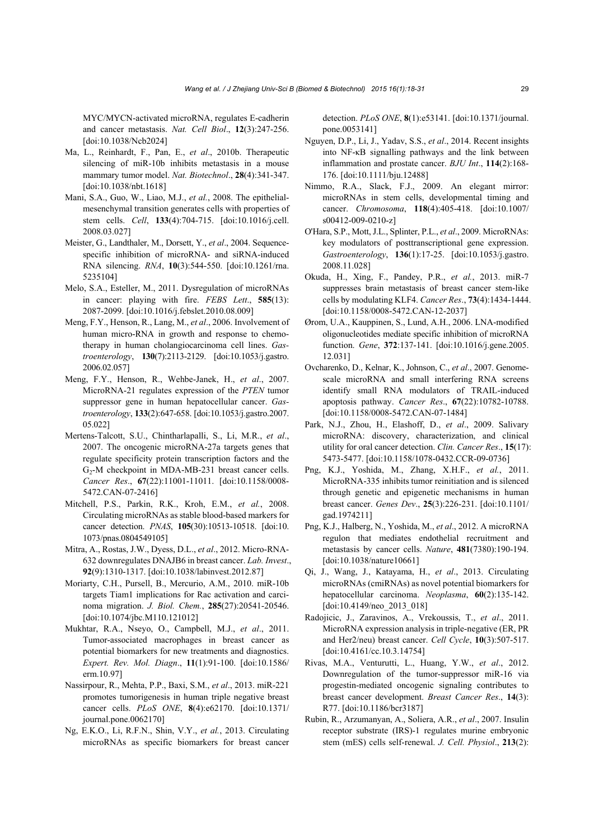MYC/MYCN-activated microRNA, regulates E-cadherin and cancer metastasis. *Nat. Cell Biol*., **12**(3):247-256. [doi:10.1038/Ncb2024]

- Ma, L., Reinhardt, F., Pan, E., *et al*., 2010b. Therapeutic silencing of miR-10b inhibits metastasis in a mouse mammary tumor model. *Nat. Biotechnol*., **28**(4):341-347[.](http://dx.doi.org/10.1038/nbt.1618) [\[doi:10.1038/nbt.1618\]](http://dx.doi.org/10.1038/nbt.1618)
- Mani, S.A., Guo, W., Liao, M.J., *et al.*, 2008. The epithelialmesenchymal transition generates cells with properties of stem cells. *Cell*, **133**(4):704-715. [\[doi:10.1016/j.cell.](http://dx.doi.org/10.1016/j.cell.2008.03.027) [2008.03.027\]](http://dx.doi.org/10.1016/j.cell.2008.03.027)
- Meister, G., Landthaler, M., Dorsett, Y., *et al*., 2004. Sequencespecific inhibition of microRNA- and siRNA-induced RNA silencing. *RNA*, **10**(3):544-550. [\[doi:10.1261/rna.](http://dx.doi.org/10.1261/rna.5235104) [5235104\]](http://dx.doi.org/10.1261/rna.5235104)
- Melo, S.A., Esteller, M., 2011. Dysregulation of microRNAs in cancer: playing with fire. *FEBS Lett*., **585**(13): 2087-2099[. \[doi:10.1016/j.febslet.2010.08.009\]](http://dx.doi.org/10.1016/j.febslet.2010.08.009)
- Meng, F.Y., Henson, R., Lang, M., *et al*., 2006. Involvement of human micro-RNA in growth and response to chemotherapy in human cholangiocarcinoma cell lines. *Gastroenterology*, **130**(7):2113-2129. [\[doi:10.1053/j.gastro.](http://dx.doi.org/10.1053/j.gastro.2006.02.057) [2006.02.057\]](http://dx.doi.org/10.1053/j.gastro.2006.02.057)
- Meng, F.Y., Henson, R., Wehbe-Janek, H., *et al*., 2007. MicroRNA-21 regulates expression of the *PTEN* tumor suppressor gene in human hepatocellular cancer. *Gastroenterology*, **133**(2):647-658. [\[doi:10.1053/j.gastro.2007.](http://dx.doi.org/10.1053/j.gastro.2007.05.022) [05.022\]](http://dx.doi.org/10.1053/j.gastro.2007.05.022)
- Mertens-Talcott, S.U., Chintharlapalli, S., Li, M.R., *et al*., 2007. The oncogenic microRNA-27a targets genes that regulate specificity protein transcription factors and the  $G_2$ -M checkpoint in MDA-MB-231 breast cancer cells. *Cancer Res*., **67**(22):11001-11011. [\[doi:10.1158/0008-](http://dx.doi.org/10.1158/0008-5472.CAN-07-2416) [5472.CAN-07-2416\]](http://dx.doi.org/10.1158/0008-5472.CAN-07-2416)
- Mitchell, P.S., Parkin, R.K., Kroh, E.M., *et al.*, 2008. Circulating microRNAs as stable blood-based markers for cancer detection. *PNAS*, **105**(30):10513-10518. [\[doi:10.](http://dx.doi.org/10.1073/pnas.0804549105) [1073/pnas.0804549105\]](http://dx.doi.org/10.1073/pnas.0804549105)
- Mitra, A., Rostas, J.W., Dyess, D.L., *et al*., 2012. Micro-RNA-632 downregulates DNAJB6 in breast cancer. *Lab. Invest*., **92**(9):1310-1317. [\[doi:10.1038/labinvest.2012.87\]](http://dx.doi.org/10.1038/labinvest.2012.87)
- Moriarty, C.H., Pursell, B., Mercurio, A.M., 2010. miR-10b targets Tiam1 implications for Rac activation and carcinoma migration. *J. Biol. Chem.*, **285**(27):20541-20546[.](http://dx.doi.org/10.1074/jbc.M110.121012) [\[doi:10.1074/jbc.M110.121012\]](http://dx.doi.org/10.1074/jbc.M110.121012)
- Mukhtar, R.A., Nseyo, O., Campbell, M.J., *et al*., 2011. Tumor-associated macrophages in breast cancer as potential biomarkers for new treatments and diagnostics. *Expert. Rev. Mol. Diagn*., **11**(1):91-100. [\[doi:10.1586/](http://dx.doi.org/10.1586/erm.10.97) [erm.10.97\]](http://dx.doi.org/10.1586/erm.10.97)
- Nassirpour, R., Mehta, P.P., Baxi, S.M., *et al*., 2013. miR-221 promotes tumorigenesis in human triple negative breast cancer cells. *PLoS ONE*, **8**(4):e62170. [\[doi:10.1371/](http://dx.doi.org/10.1371/journal.pone.0062170) [journal.pone.0062170\]](http://dx.doi.org/10.1371/journal.pone.0062170)
- Ng, E.K.O., Li, R.F.N., Shin, V.Y., *et al.*, 2013. Circulating microRNAs as specific biomarkers for breast cancer

detection. *PLoS ONE*, **8**(1):e53141. [\[doi:10.1371/journal.](http://dx.doi.org/10.1371/journal.pone.0053141) [pone.0053141\]](http://dx.doi.org/10.1371/journal.pone.0053141)

- Nguyen, D.P., Li, J., Yadav, S.S., *et al*., 2014. Recent insights into NF-κB signalling pathways and the link between inflammation and prostate cancer. *BJU Int*., **114**(2):168- 176[. \[doi:10.1111/bju.12488\]](http://onlinelibrary.wiley.com/doi/10.1111/bju.12488/abstract)
- Nimmo, R.A., Slack, F.J., 2009. An elegant mirror: microRNAs in stem cells, developmental timing and cancer. *Chromosoma*, **118**(4):405-418. [\[doi:10.1007/](http://dx.doi.org/10.1007/s00412-009-0210-z) [s00412-009-0210-z\]](http://dx.doi.org/10.1007/s00412-009-0210-z)
- O'Hara, S.P., Mott, J.L., Splinter, P.L., *et al*., 2009. MicroRNAs: key modulators of posttranscriptional gene expression. *Gastroenterology*, **136**(1):17-25. [\[doi:10.1053/j.gastro.](http://dx.doi.org/10.1053/j.gastro.2008.11.028) [2008.11.028\]](http://dx.doi.org/10.1053/j.gastro.2008.11.028)
- Okuda, H., Xing, F., Pandey, P.R., *et al.*, 2013. miR-7 suppresses brain metastasis of breast cancer stem-like cells by modulating KLF4. *Cancer Res*., **73**(4):1434-144[4.](http://dx.doi.org/10.1158/0008-5472.CAN-12-2037) [\[doi:10.1158/0008-5472.CAN-12-2037\]](http://dx.doi.org/10.1158/0008-5472.CAN-12-2037)
- Ørom, U.A., Kauppinen, S., Lund, A.H., 2006. LNA-modified oligonucleotides mediate specific inhibition of microRNA function. *Gene*, **372**:137-141. [\[doi:10.1016/j.gene.2005.](http://dx.doi.org/10.1016/j.gene.2005.12.031) [12.031\]](http://dx.doi.org/10.1016/j.gene.2005.12.031)
- Ovcharenko, D., Kelnar, K., Johnson, C., *et al*., 2007. Genomescale microRNA and small interfering RNA screens identify small RNA modulators of TRAIL-induced apoptosis pathway. *Cancer Res*., **67**(22):10782-10788[.](http://dx.doi.org/10.1158/0008-5472.CAN-07-1484) [\[doi:10.1158/0008-5472.CAN-07-1484\]](http://dx.doi.org/10.1158/0008-5472.CAN-07-1484)
- Park, N.J., Zhou, H., Elashoff, D., *et al*., 2009. Salivary microRNA: discovery, characterization, and clinical utility for oral cancer detection. *Clin. Cancer Res*., **15**(17): 5473-5477. [\[doi:10.1158/1078-0432.CCR-09-0736\]](http://dx.doi.org/10.1158/1078-0432.CCR-09-0736)
- Png, K.J., Yoshida, M., Zhang, X.H.F., *et al.*, 2011. MicroRNA-335 inhibits tumor reinitiation and is silenced through genetic and epigenetic mechanisms in human breast cancer. *Genes Dev*., **25**(3):226-231. [\[doi:10.1101/](http://dx.doi.org/10.1101/gad.1974211) [gad.1974211\]](http://dx.doi.org/10.1101/gad.1974211)
- Png, K.J., Halberg, N., Yoshida, M., *et al*., 2012. A microRNA regulon that mediates endothelial recruitment and metastasis by cancer cells. *Nature*, **481**(7380):190-194[.](http://dx.doi.org/10.1038/nature10661) [\[doi:10.1038/nature10661\]](http://dx.doi.org/10.1038/nature10661)
- Qi, J., Wang, J., Katayama, H., *et al*., 2013. Circulating microRNAs (cmiRNAs) as novel potential biomarkers for hepatocellular carcinoma. *Neoplasma*, **60**(2):135-142[.](http://dx.doi.org/10.4149/neo_2013_018) [\[doi:10.4149/neo\\_2013\\_018\]](http://dx.doi.org/10.4149/neo_2013_018)
- Radojicic, J., Zaravinos, A., Vrekoussis, T., *et al*., 2011. MicroRNA expression analysis in triple-negative (ER, PR and Her2/neu) breast cancer. *Cell Cycle*, **10**(3):507-517[.](http://dx.doi.org/10.4161/cc.10.3.14754) [\[doi:10.4161/cc.10.3.14754\]](http://dx.doi.org/10.4161/cc.10.3.14754)
- Rivas, M.A., Venturutti, L., Huang, Y.W., *et al*., 2012. Downregulation of the tumor-suppressor miR-16 via progestin-mediated oncogenic signaling contributes to breast cancer development. *Breast Cancer Res*., **14**(3): R77. [\[doi:10.1186/bcr3187\]](http://dx.doi.org/10.1186/bcr3187)
- Rubin, R., Arzumanyan, A., Soliera, A.R., *et al*., 2007. Insulin receptor substrate (IRS)-1 regulates murine embryonic stem (mES) cells self-renewal. *J. Cell. Physiol*., **213**(2):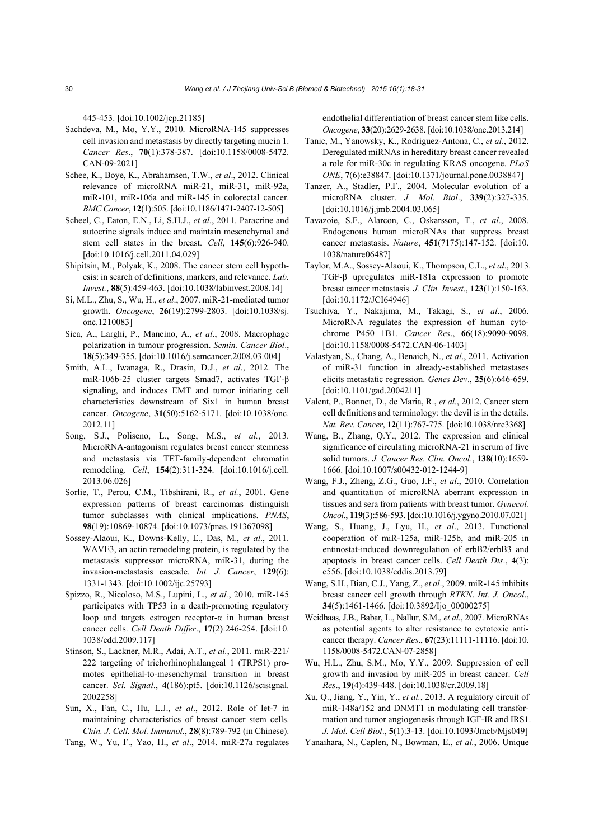445-453. [\[doi:10.1002/jcp.21185\]](http://dx.doi.org/10.1002/jcp.21185)

- Sachdeva, M., Mo, Y.Y., 2010. MicroRNA-145 suppresses cell invasion and metastasis by directly targeting mucin 1. *Cancer Res*., **70**(1):378-387. [\[doi:10.1158/0008-5472.](http://dx.doi.org/10.1158/0008-5472.CAN-09-2021) [CAN-09-2021\]](http://dx.doi.org/10.1158/0008-5472.CAN-09-2021)
- Schee, K., Boye, K., Abrahamsen, T.W., *et al*., 2012. Clinical relevance of microRNA miR-21, miR-31, miR-92a, miR-101, miR-106a and miR-145 in colorectal cancer. *BMC Cancer*, **12**(1):505. [\[doi:10.1186/1471-2407-12-505\]](http://dx.doi.org/10.1186/1471-2407-12-505)
- Scheel, C., Eaton, E.N., Li, S.H.J., *et al.*, 2011. Paracrine and autocrine signals induce and maintain mesenchymal and stem cell states in the breast. *Cell*, **145**(6):926-940. [\[doi:10.1016/j.cell.2011.04.029\]](http://dx.doi.org/10.1016/j.cell.2011.04.029)
- Shipitsin, M., Polyak, K., 2008. The cancer stem cell hypothesis: in search of definitions, markers, and relevance. *Lab. Invest.*, **88**(5):459-463. [\[doi:10.1038/labinvest.2008.14\]](http://dx.doi.org/10.1038/labinvest.2008.14)
- Si, M.L., Zhu, S., Wu, H., *et al*., 2007. miR-21-mediated tumor growth. *Oncogene*, **26**(19):2799-2803. [\[doi:10.1038/sj.](http://dx.doi.org/10.1038/sj.onc.1210083) [onc.1210083\]](http://dx.doi.org/10.1038/sj.onc.1210083)
- Sica, A., Larghi, P., Mancino, A., *et al*., 2008. Macrophage polarization in tumour progression. *Semin. Cancer Biol*., **18**(5):349-355. [\[doi:10.1016/j.semcancer.2008.03.004\]](http://dx.doi.org/10.1016/j.semcancer.2008.03.004)
- Smith, A.L., Iwanaga, R., Drasin, D.J., *et al*., 2012. The miR-106b-25 cluster targets Smad7, activates TGF-β signaling, and induces EMT and tumor initiating cell characteristics downstream of Six1 in human breast cancer. *Oncogene*, **31**(50):5162-5171. [\[doi:10.1038/onc.](http://dx.doi.org/10.1038/onc.2012.11) [2012.11\]](http://dx.doi.org/10.1038/onc.2012.11)
- Song, S.J., Poliseno, L., Song, M.S., *et al.*, 2013. MicroRNA-antagonism regulates breast cancer stemness and metastasis via TET-family-dependent chromatin remodeling. *Cell*, **154**(2):311-324. [\[doi:10.1016/j.cell.](http://dx.doi.org/10.1016/j.cell.2013.06.026) [2013.06.026\]](http://dx.doi.org/10.1016/j.cell.2013.06.026)
- Sorlie, T., Perou, C.M., Tibshirani, R., *et al.*, 2001. Gene expression patterns of breast carcinomas distinguish tumor subclasses with clinical implications. *PNAS*, **98**(19):10869-10874. [\[doi:10.1073/pnas.191367098\]](http://dx.doi.org/10.1073/pnas.191367098)
- Sossey-Alaoui, K., Downs-Kelly, E., Das, M., *et al*., 2011. WAVE3, an actin remodeling protein, is regulated by the metastasis suppressor microRNA, miR-31, during the invasion-metastasis cascade. *Int. J. Cancer*, **129**(6): 1331-1343. [\[doi:10.1002/ijc.25793\]](http://dx.doi.org/10.1002/ijc.25793)
- Spizzo, R., Nicoloso, M.S., Lupini, L., *et al.*, 2010. miR-145 participates with TP53 in a death-promoting regulatory loop and targets estrogen receptor-α in human breast cancer cells. *Cell Death Differ*., **17**(2):246-254. [\[doi:10.](http://dx.doi.org/10.1038/cdd.2009.117) [1038/cdd.2009.117\]](http://dx.doi.org/10.1038/cdd.2009.117)
- Stinson, S., Lackner, M.R., Adai, A.T., *et al.*, 2011. miR-221/ 222 targeting of trichorhinophalangeal 1 (TRPS1) promotes epithelial-to-mesenchymal transition in breast cancer. *Sci. Signal*., **4**(186):pt5. [\[doi:10.1126/scisignal.](http://dx.doi.org/10.1126/scisignal.2002258) [2002258\]](http://dx.doi.org/10.1126/scisignal.2002258)
- Sun, X., Fan, C., Hu, L.J., *et al*., 2012. Role of let-7 in maintaining characteristics of breast cancer stem cells. *Chin. J. Cell. Mol. Immunol.*, **28**(8):789-792 (in Chinese).
- Tang, W., Yu, F., Yao, H., *et al*., 2014. miR-27a regulates

endothelial differentiation of breast cancer stem like cells. *Oncogene*, **33**(20):2629-2638. [\[doi:10.1038/onc.2013.214\]](http://dx.doi.org/10.1038/onc.2013.214)

- Tanic, M., Yanowsky, K., Rodriguez-Antona, C., *et al*., 2012. Deregulated miRNAs in hereditary breast cancer revealed a role for miR-30c in regulating KRAS oncogene. *PLoS ONE*, **7**(6):e38847. [\[doi:10.1371/journal.pone.0038847\]](http://dx.doi.org/10.1371/journal.pone.0038847)
- Tanzer, A., Stadler, P.F., 2004. Molecular evolution of a microRNA cluster. *J. Mol. Biol*., **339**(2):327-335. [\[doi:10.1016/j.jmb.2004.03.065\]](http://dx.doi.org/10.1016/j.jmb.2004.03.065)
- Tavazoie, S.F., Alarcon, C., Oskarsson, T., *et al*., 2008. Endogenous human microRNAs that suppress breast cancer metastasis. *Nature*, **451**(7175):147-152. [\[doi:10.](http://dx.doi.org/10.1038/nature06487) [1038/nature06487\]](http://dx.doi.org/10.1038/nature06487)
- Taylor, M.A., Sossey-Alaoui, K., Thompson, C.L., *et al*., 2013. TGF-β upregulates miR-181a expression to promote breast cancer metastasis. *J. Clin. Invest*., **123**(1):150-163[.](http://dx.doi.org/10.1172/JCI64946) [\[doi:10.1172/JCI64946\]](http://dx.doi.org/10.1172/JCI64946)
- Tsuchiya, Y., Nakajima, M., Takagi, S., *et al*., 2006. MicroRNA regulates the expression of human cytochrome P450 1B1. *Cancer Res*., **66**(18):9090-9098. [\[doi:10.1158/0008-5472.CAN-06-1403\]](http://dx.doi.org/10.1158/0008-5472.CAN-06-1403)
- Valastyan, S., Chang, A., Benaich, N., *et al*., 2011. Activation of miR-31 function in already-established metastases elicits metastatic regression. *Genes Dev*., **25**(6):646-659[.](http://dx.doi.org/10.1101/gad.2004211) [\[doi:10.1101/gad.2004211\]](http://dx.doi.org/10.1101/gad.2004211)
- Valent, P., Bonnet, D., de Maria, R., *et al.*, 2012. Cancer stem cell definitions and terminology: the devil is in the details. *Nat. Rev. Cancer*, **12**(11):767-775. [\[doi:10.1038/nrc3368\]](http://dx.doi.org/10.1038/nrc3368)
- Wang, B., Zhang, Q.Y., 2012. The expression and clinical significance of circulating microRNA-21 in serum of five solid tumors. *J. Cancer Res. Clin. Oncol*., **138**(10):1659- 1666. [\[doi:10.1007/s00432-012-1244-9\]](http://dx.doi.org/10.1007/s00432-012-1244-9)
- Wang, F.J., Zheng, Z.G., Guo, J.F., *et al*., 2010. Correlation and quantitation of microRNA aberrant expression in tissues and sera from patients with breast tumor. *Gynecol. Oncol*., **119**(3):586-593[. \[doi:10.1016/j.ygyno.2010.07.021\]](http://dx.doi.org/10.1016/j.ygyno.2010.07.021)
- Wang, S., Huang, J., Lyu, H., *et al*., 2013. Functional cooperation of miR-125a, miR-125b, and miR-205 in entinostat-induced downregulation of erbB2/erbB3 and apoptosis in breast cancer cells. *Cell Death Dis*., **4**(3): e556. [\[doi:10.1038/cddis.2013.79\]](http://dx.doi.org/10.1038/cddis.2013.79)
- Wang, S.H., Bian, C.J., Yang, Z., *et al*., 2009. miR-145 inhibits breast cancer cell growth through *RTKN*. *Int. J. Oncol*., **34**(5):1461-1466. [\[doi:10.3892/Ijo\\_00000275\]](http://www.spandidos-publications.com/ijo/34/5/1461)
- Weidhaas, J.B., Babar, L., Nallur, S.M., *et al*., 2007. MicroRNAs as potential agents to alter resistance to cytotoxic anticancer therapy. *Cancer Res*., **67**(23):11111-11116. [\[doi:10.](http://dx.doi.org/10.1158/0008-5472.CAN-07-2858) [1158/0008-5472.CAN-07-2858\]](http://dx.doi.org/10.1158/0008-5472.CAN-07-2858)
- Wu, H.L., Zhu, S.M., Mo, Y.Y., 2009. Suppression of cell growth and invasion by miR-205 in breast cancer. *Cell Res*., **19**(4):439-448. [\[doi:10.1038/cr.2009.18\]](http://dx.doi.org/10.1038/cr.2009.18)
- Xu, Q., Jiang, Y., Yin, Y., *et al.*, 2013. A regulatory circuit of miR-148a/152 and DNMT1 in modulating cell transformation and tumor angiogenesis through IGF-IR and IRS1. *J. Mol. Cell Biol*., **5**(1):3-13[. \[doi:10.1093/Jmcb/Mjs049\]](http://jmcb.oxfordjournals.org/content/5/1/3)
- Yanaihara, N., Caplen, N., Bowman, E., *et al.*, 2006. Unique